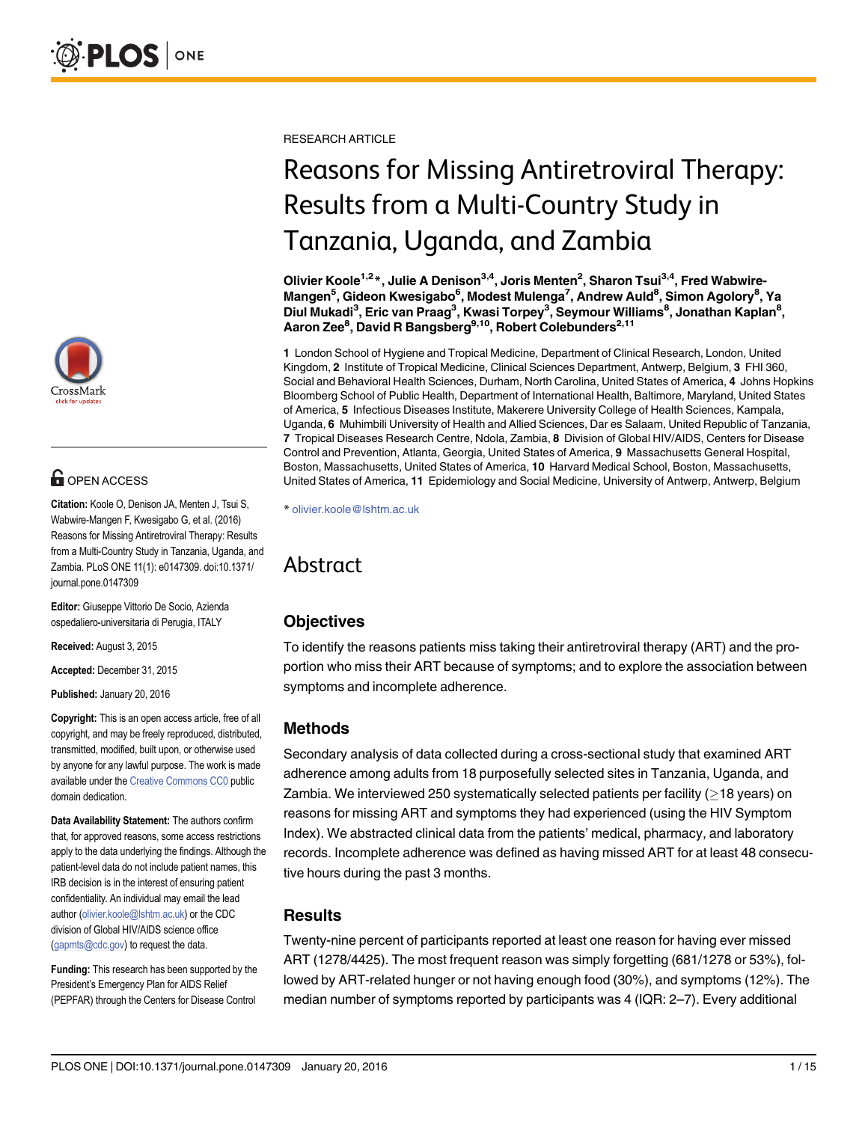

# **G** OPEN ACCESS

Citation: Koole O, Denison JA, Menten J, Tsui S, Wabwire-Mangen F, Kwesigabo G, et al. (2016) Reasons for Missing Antiretroviral Therapy: Results from a Multi-Country Study in Tanzania, Uganda, and Zambia. PLoS ONE 11(1): e0147309. doi:10.1371/ journal.pone.0147309

Editor: Giuseppe Vittorio De Socio, Azienda ospedaliero-universitaria di Perugia, ITALY

Received: August 3, 2015

Accepted: December 31, 2015

Published: January 20, 2016

Copyright: This is an open access article, free of all copyright, and may be freely reproduced, distributed, transmitted, modified, built upon, or otherwise used by anyone for any lawful purpose. The work is made available under the [Creative Commons CC0](https://creativecommons.org/publicdomain/zero/1.0/) public domain dedication.

Data Availability Statement: The authors confirm that, for approved reasons, some access restrictions apply to the data underlying the findings. Although the patient-level data do not include patient names, this IRB decision is in the interest of ensuring patient confidentiality. An individual may email the lead author (olivier.koole@lshtm.ac.uk) or the CDC division of Global HIV/AIDS science office (gapmts@cdc.gov) to request the data.

Funding: This research has been supported by the President's Emergency Plan for AIDS Relief (PEPFAR) through the Centers for Disease Control

RESEARCH ARTICLE

# Reasons for Missing Antiretroviral Therapy: Results from a Multi-Country Study in Tanzania, Uganda, and Zambia

Olivier Koole<sup>1,2\*</sup>, Julie A Denison<sup>3,4</sup>, Joris Menten<sup>2</sup>, Sharon Tsui<sup>3,4</sup>, Fred Wabwire-Mangen<sup>5</sup>, Gideon Kwesigabo<sup>6</sup>, Modest Mulenga<sup>7</sup>, Andrew Auld<sup>8</sup>, Simon Agolory<sup>8</sup>, Ya Diul Mukadi<sup>3</sup>, Eric van Praag<sup>3</sup>, Kwasi Torpey<sup>3</sup>, Seymour Williams<sup>8</sup>, Jonathan Kaplan<sup>8</sup>, Aaron Zee<sup>8</sup>, David R Bangsberg<sup>9,10</sup>, Robert Colebunders<sup>2,11</sup>

1 London School of Hygiene and Tropical Medicine, Department of Clinical Research, London, United Kingdom, 2 Institute of Tropical Medicine, Clinical Sciences Department, Antwerp, Belgium, 3 FHI 360, Social and Behavioral Health Sciences, Durham, North Carolina, United States of America, 4 Johns Hopkins Bloomberg School of Public Health, Department of International Health, Baltimore, Maryland, United States of America, 5 Infectious Diseases Institute, Makerere University College of Health Sciences, Kampala, Uganda, 6 Muhimbili University of Health and Allied Sciences, Dar es Salaam, United Republic of Tanzania, 7 Tropical Diseases Research Centre, Ndola, Zambia, 8 Division of Global HIV/AIDS, Centers for Disease Control and Prevention, Atlanta, Georgia, United States of America, 9 Massachusetts General Hospital, Boston, Massachusetts, United States of America, 10 Harvard Medical School, Boston, Massachusetts, United States of America, 11 Epidemiology and Social Medicine, University of Antwerp, Antwerp, Belgium

\* olivier.koole@lshtm.ac.uk

# Abstract

# **Objectives**

To identify the reasons patients miss taking their antiretroviral therapy (ART) and the proportion who miss their ART because of symptoms; and to explore the association between symptoms and incomplete adherence.

# Methods

Secondary analysis of data collected during a cross-sectional study that examined ART adherence among adults from 18 purposefully selected sites in Tanzania, Uganda, and Zambia. We interviewed 250 systematically selected patients per facility ( $\geq$  18 years) on reasons for missing ART and symptoms they had experienced (using the HIV Symptom Index). We abstracted clinical data from the patients' medical, pharmacy, and laboratory records. Incomplete adherence was defined as having missed ART for at least 48 consecutive hours during the past 3 months.

# Results

Twenty-nine percent of participants reported at least one reason for having ever missed ART (1278/4425). The most frequent reason was simply forgetting (681/1278 or 53%), followed by ART-related hunger or not having enough food (30%), and symptoms (12%). The median number of symptoms reported by participants was 4 (IQR: 2–7). Every additional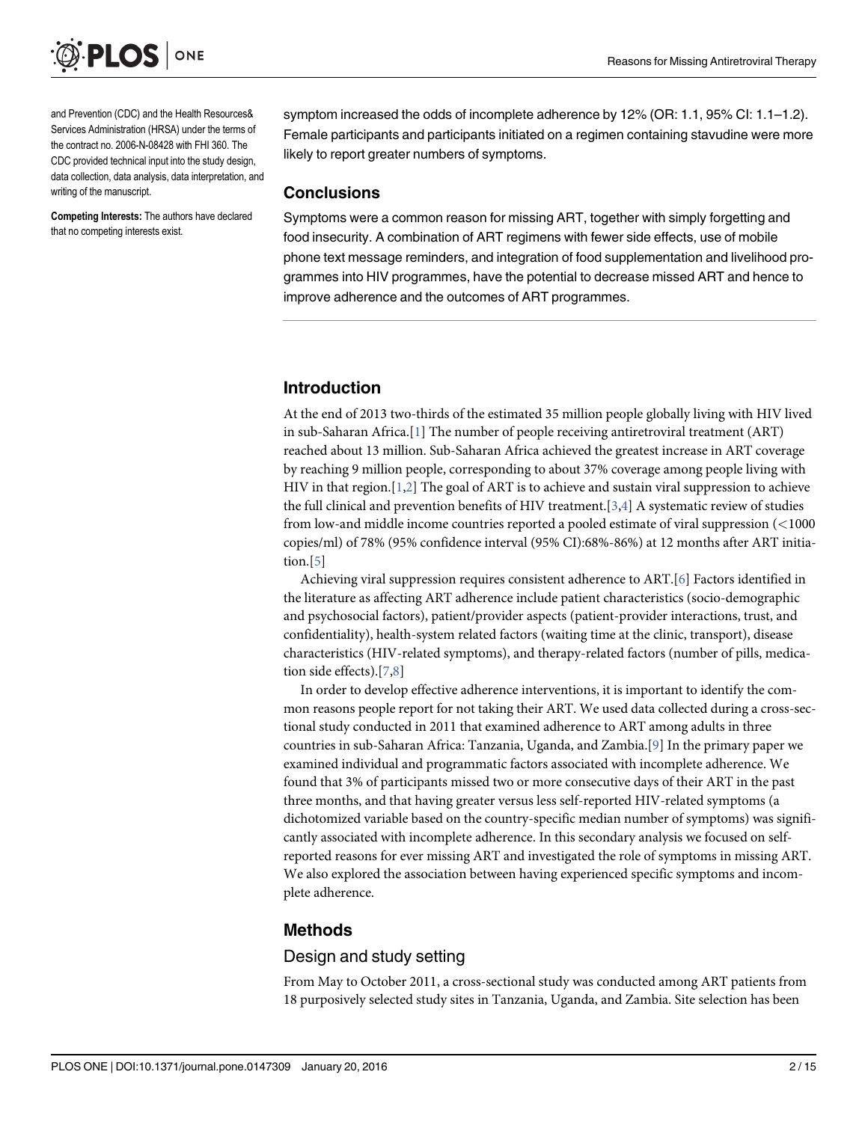<span id="page-1-0"></span>

and Prevention (CDC) and the Health Resources& Services Administration (HRSA) under the terms of the contract no. 2006-N-08428 with FHI 360. The CDC provided technical input into the study design, data collection, data analysis, data interpretation, and writing of the manuscript.

Competing Interests: The authors have declared that no competing interests exist.

symptom increased the odds of incomplete adherence by 12% (OR: 1.1, 95% CI: 1.1-1.2). Female participants and participants initiated on a regimen containing stavudine were more likely to report greater numbers of symptoms.

#### **Conclusions**

Symptoms were a common reason for missing ART, together with simply forgetting and food insecurity. A combination of ART regimens with fewer side effects, use of mobile phone text message reminders, and integration of food supplementation and livelihood programmes into HIV programmes, have the potential to decrease missed ART and hence to improve adherence and the outcomes of ART programmes.

# Introduction

At the end of 2013 two-thirds of the estimated 35 million people globally living with HIV lived in sub-Saharan Africa.[\[1](#page-11-0)] The number of people receiving antiretroviral treatment (ART) reached about 13 million. Sub-Saharan Africa achieved the greatest increase in ART coverage by reaching 9 million people, corresponding to about 37% coverage among people living with HIV in that region. $[1,2]$  $[1,2]$  The goal of ART is to achieve and sustain viral suppression to achieve the full clinical and prevention benefits of HIV treatment.  $[3,4]$  $[3,4]$  A systematic review of studies from low-and middle income countries reported a pooled estimate of viral suppression (<1000 copies/ml) of 78% (95% confidence interval (95% CI):68%-86%) at 12 months after ART initiation. $[5]$  $[5]$  $[5]$ 

Achieving viral suppression requires consistent adherence to ART.[[6\]](#page-12-0) Factors identified in the literature as affecting ART adherence include patient characteristics (socio-demographic and psychosocial factors), patient/provider aspects (patient-provider interactions, trust, and confidentiality), health-system related factors (waiting time at the clinic, transport), disease characteristics (HIV-related symptoms), and therapy-related factors (number of pills, medication side effects). $[7,8]$ 

In order to develop effective adherence interventions, it is important to identify the common reasons people report for not taking their ART. We used data collected during a cross-sectional study conducted in 2011 that examined adherence to ART among adults in three countries in sub-Saharan Africa: Tanzania, Uganda, and Zambia.[\[9](#page-12-0)] In the primary paper we examined individual and programmatic factors associated with incomplete adherence. We found that 3% of participants missed two or more consecutive days of their ART in the past three months, and that having greater versus less self-reported HIV-related symptoms (a dichotomized variable based on the country-specific median number of symptoms) was significantly associated with incomplete adherence. In this secondary analysis we focused on selfreported reasons for ever missing ART and investigated the role of symptoms in missing ART. We also explored the association between having experienced specific symptoms and incomplete adherence.

## Methods

## Design and study setting

From May to October 2011, a cross-sectional study was conducted among ART patients from 18 purposively selected study sites in Tanzania, Uganda, and Zambia. Site selection has been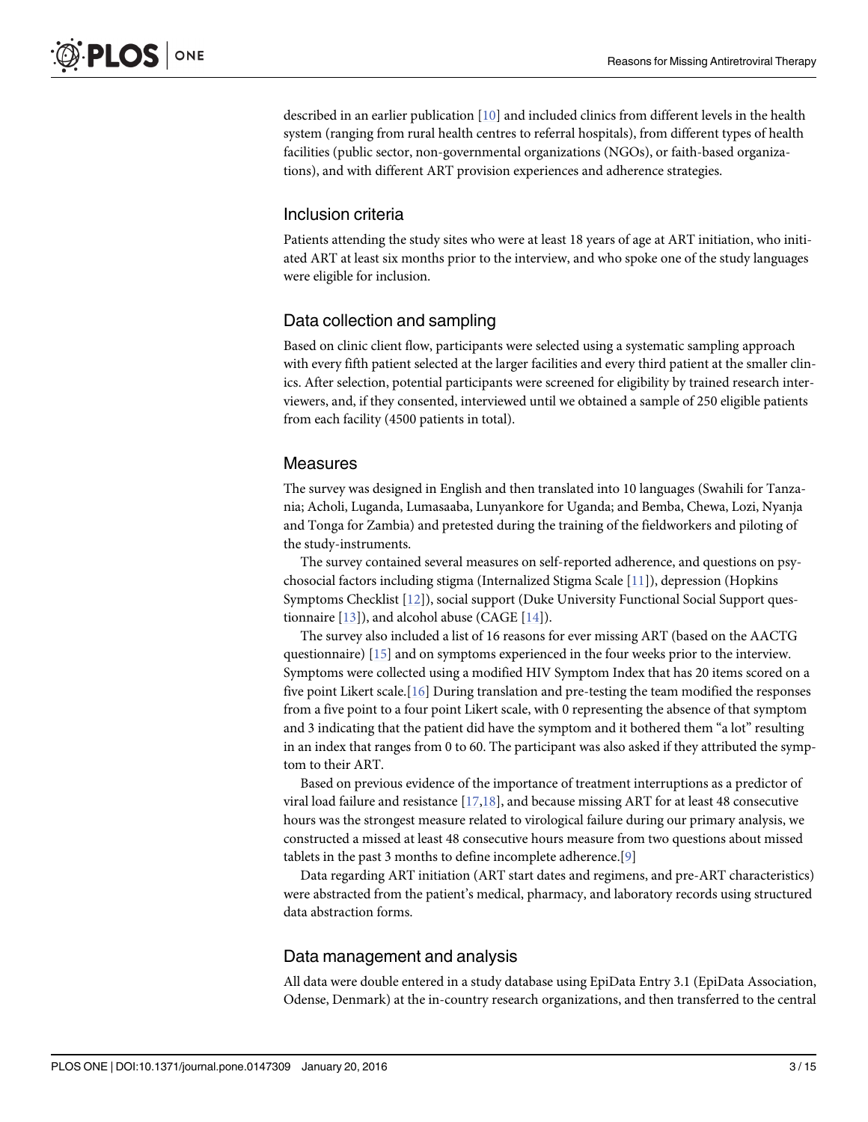<span id="page-2-0"></span>described in an earlier publication [\[10\]](#page-12-0) and included clinics from different levels in the health system (ranging from rural health centres to referral hospitals), from different types of health facilities (public sector, non-governmental organizations (NGOs), or faith-based organizations), and with different ART provision experiences and adherence strategies.

#### Inclusion criteria

Patients attending the study sites who were at least 18 years of age at ART initiation, who initiated ART at least six months prior to the interview, and who spoke one of the study languages were eligible for inclusion.

#### Data collection and sampling

Based on clinic client flow, participants were selected using a systematic sampling approach with every fifth patient selected at the larger facilities and every third patient at the smaller clinics. After selection, potential participants were screened for eligibility by trained research interviewers, and, if they consented, interviewed until we obtained a sample of 250 eligible patients from each facility (4500 patients in total).

#### Measures

The survey was designed in English and then translated into 10 languages (Swahili for Tanzania; Acholi, Luganda, Lumasaaba, Lunyankore for Uganda; and Bemba, Chewa, Lozi, Nyanja and Tonga for Zambia) and pretested during the training of the fieldworkers and piloting of the study-instruments.

The survey contained several measures on self-reported adherence, and questions on psychosocial factors including stigma (Internalized Stigma Scale [\[11](#page-12-0)]), depression (Hopkins Symptoms Checklist [\[12\]](#page-12-0)), social support (Duke University Functional Social Support questionnaire  $[13]$  $[13]$  $[13]$ ), and alcohol abuse (CAGE  $[14]$  $[14]$ ).

The survey also included a list of 16 reasons for ever missing ART (based on the AACTG questionnaire) [[15](#page-12-0)] and on symptoms experienced in the four weeks prior to the interview. Symptoms were collected using a modified HIV Symptom Index that has 20 items scored on a five point Likert scale.[\[16\]](#page-12-0) During translation and pre-testing the team modified the responses from a five point to a four point Likert scale, with 0 representing the absence of that symptom and 3 indicating that the patient did have the symptom and it bothered them "a lot" resulting in an index that ranges from 0 to 60. The participant was also asked if they attributed the symptom to their ART.

Based on previous evidence of the importance of treatment interruptions as a predictor of viral load failure and resistance  $[17,18]$  $[17,18]$ , and because missing ART for at least 48 consecutive hours was the strongest measure related to virological failure during our primary analysis, we constructed a missed at least 48 consecutive hours measure from two questions about missed tablets in the past 3 months to define incomplete adherence.[[9\]](#page-12-0)

Data regarding ART initiation (ART start dates and regimens, and pre-ART characteristics) were abstracted from the patient's medical, pharmacy, and laboratory records using structured data abstraction forms.

#### Data management and analysis

All data were double entered in a study database using EpiData Entry 3.1 (EpiData Association, Odense, Denmark) at the in-country research organizations, and then transferred to the central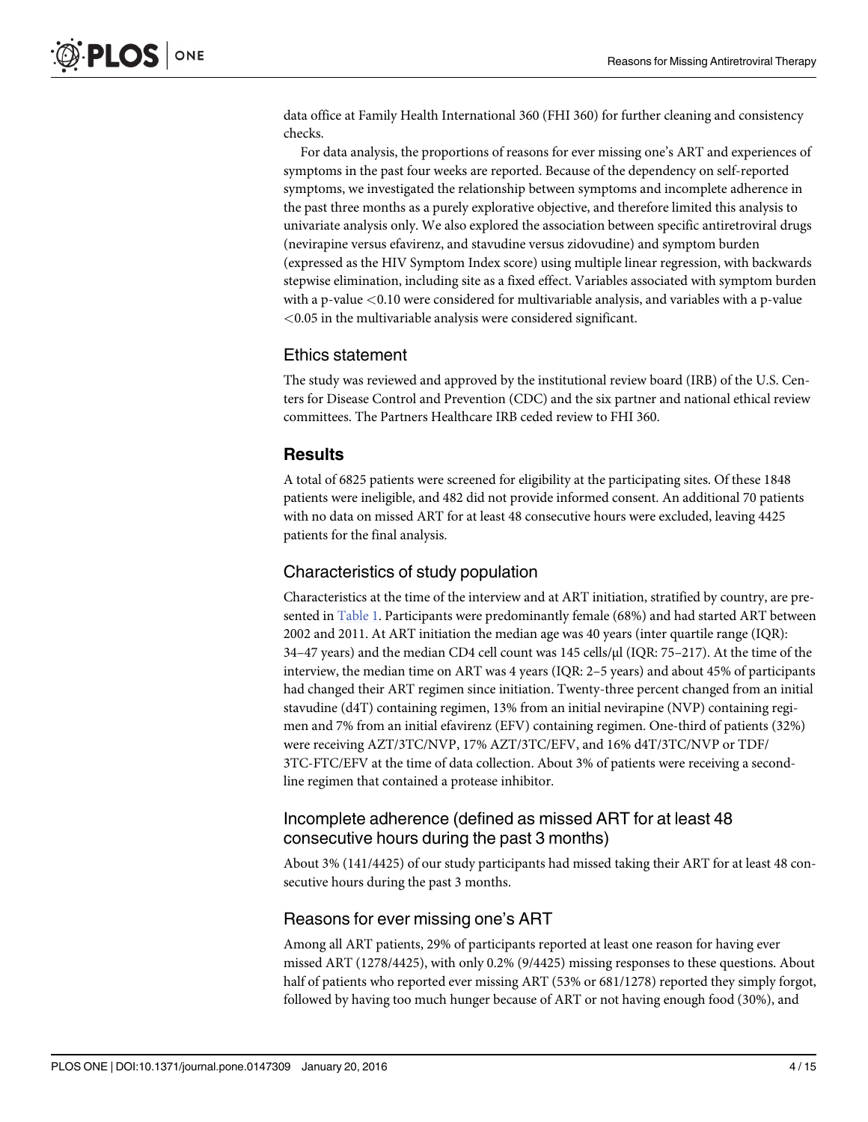<span id="page-3-0"></span>data office at Family Health International 360 (FHI 360) for further cleaning and consistency checks.

For data analysis, the proportions of reasons for ever missing one's ART and experiences of symptoms in the past four weeks are reported. Because of the dependency on self-reported symptoms, we investigated the relationship between symptoms and incomplete adherence in the past three months as a purely explorative objective, and therefore limited this analysis to univariate analysis only. We also explored the association between specific antiretroviral drugs (nevirapine versus efavirenz, and stavudine versus zidovudine) and symptom burden (expressed as the HIV Symptom Index score) using multiple linear regression, with backwards stepwise elimination, including site as a fixed effect. Variables associated with symptom burden with a p-value  $< 0.10$  were considered for multivariable analysis, and variables with a p-value <0.05 in the multivariable analysis were considered significant.

#### Ethics statement

The study was reviewed and approved by the institutional review board (IRB) of the U.S. Centers for Disease Control and Prevention (CDC) and the six partner and national ethical review committees. The Partners Healthcare IRB ceded review to FHI 360.

# **Results**

A total of 6825 patients were screened for eligibility at the participating sites. Of these 1848 patients were ineligible, and 482 did not provide informed consent. An additional 70 patients with no data on missed ART for at least 48 consecutive hours were excluded, leaving 4425 patients for the final analysis.

## Characteristics of study population

Characteristics at the time of the interview and at ART initiation, stratified by country, are presented in [Table 1](#page-4-0). Participants were predominantly female (68%) and had started ART between 2002 and 2011. At ART initiation the median age was 40 years (inter quartile range (IQR): 34–47 years) and the median CD4 cell count was 145 cells/μl (IQR: 75–217). At the time of the interview, the median time on ART was 4 years (IQR: 2–5 years) and about 45% of participants had changed their ART regimen since initiation. Twenty-three percent changed from an initial stavudine (d4T) containing regimen, 13% from an initial nevirapine (NVP) containing regimen and 7% from an initial efavirenz (EFV) containing regimen. One-third of patients (32%) were receiving AZT/3TC/NVP, 17% AZT/3TC/EFV, and 16% d4T/3TC/NVP or TDF/ 3TC-FTC/EFV at the time of data collection. About 3% of patients were receiving a secondline regimen that contained a protease inhibitor.

# Incomplete adherence (defined as missed ART for at least 48 consecutive hours during the past 3 months)

About 3% (141/4425) of our study participants had missed taking their ART for at least 48 consecutive hours during the past 3 months.

## Reasons for ever missing one's ART

Among all ART patients, 29% of participants reported at least one reason for having ever missed ART (1278/4425), with only 0.2% (9/4425) missing responses to these questions. About half of patients who reported ever missing ART (53% or 681/1278) reported they simply forgot, followed by having too much hunger because of ART or not having enough food (30%), and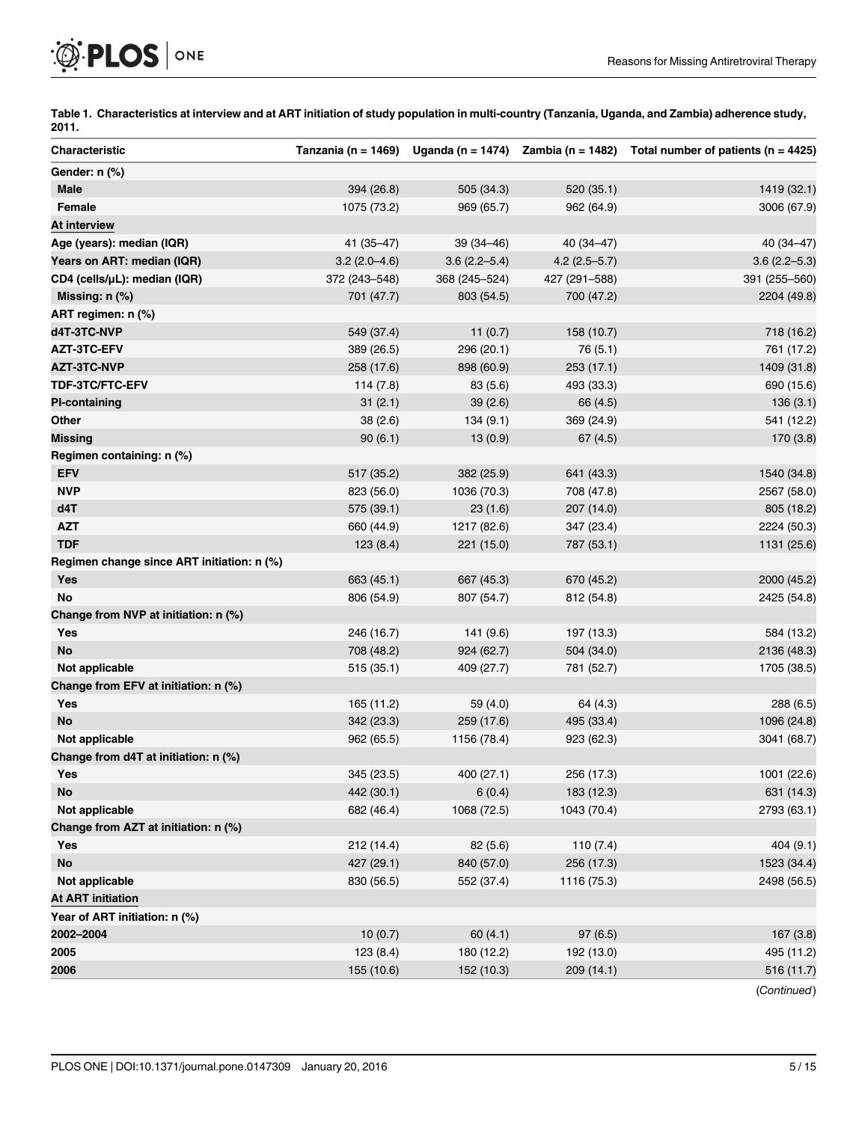<span id="page-4-0"></span>

[Table 1.](#page-3-0) Characteristics at interview and at ART initiation of study population in multi-country (Tanzania, Uganda, and Zambia) adherence study, 2011.

| Characteristic                             |                |                  |                  | Tanzania (n = 1469) Uganda (n = 1474) Zambia (n = 1482) Total number of patients (n = 4425) |
|--------------------------------------------|----------------|------------------|------------------|---------------------------------------------------------------------------------------------|
| Gender: n (%)                              |                |                  |                  |                                                                                             |
| <b>Male</b>                                | 394 (26.8)     | 505 (34.3)       | 520 (35.1)       | 1419 (32.1)                                                                                 |
| Female                                     | 1075 (73.2)    | 969 (65.7)       | 962 (64.9)       | 3006 (67.9)                                                                                 |
| At interview                               |                |                  |                  |                                                                                             |
| Age (years): median (IQR)                  | 41 (35-47)     | $39(34 - 46)$    | $40(34 - 47)$    | 40 (34-47)                                                                                  |
| Years on ART: median (IQR)                 | $3.2(2.0-4.6)$ | $3.6(2.2 - 5.4)$ | $4.2(2.5 - 5.7)$ | $3.6(2.2 - 5.3)$                                                                            |
| CD4 (cells/µL): median (IQR)               | 372 (243-548)  | 368 (245-524)    | 427 (291-588)    | 391 (255-560)                                                                               |
| Missing: n (%)                             | 701 (47.7)     | 803 (54.5)       | 700 (47.2)       | 2204 (49.8)                                                                                 |
| ART regimen: n (%)                         |                |                  |                  |                                                                                             |
| d4T-3TC-NVP                                | 549 (37.4)     | 11(0.7)          | 158 (10.7)       | 718 (16.2)                                                                                  |
| AZT-3TC-EFV                                | 389 (26.5)     | 296 (20.1)       | 76 (5.1)         | 761 (17.2)                                                                                  |
| <b>AZT-3TC-NVP</b>                         | 258 (17.6)     | 898 (60.9)       | 253 (17.1)       | 1409 (31.8)                                                                                 |
| TDF-3TC/FTC-EFV                            | 114(7.8)       | 83 (5.6)         | 493 (33.3)       | 690 (15.6)                                                                                  |
| <b>PI-containing</b>                       | 31(2.1)        | 39(2.6)          | 66 (4.5)         | 136(3.1)                                                                                    |
| Other                                      | 38(2.6)        | 134(9.1)         | 369 (24.9)       | 541 (12.2)                                                                                  |
| <b>Missing</b>                             | 90(6.1)        | 13(0.9)          | 67(4.5)          | 170 (3.8)                                                                                   |
| Regimen containing: n (%)                  |                |                  |                  |                                                                                             |
| <b>EFV</b>                                 | 517 (35.2)     | 382 (25.9)       | 641 (43.3)       | 1540 (34.8)                                                                                 |
| <b>NVP</b>                                 | 823 (56.0)     | 1036 (70.3)      | 708 (47.8)       | 2567 (58.0)                                                                                 |
| d4T                                        | 575 (39.1)     | 23(1.6)          | 207 (14.0)       | 805 (18.2)                                                                                  |
| <b>AZT</b>                                 | 660 (44.9)     | 1217 (82.6)      | 347 (23.4)       | 2224 (50.3)                                                                                 |
| <b>TDF</b>                                 | 123(8.4)       | 221 (15.0)       | 787 (53.1)       | 1131 (25.6)                                                                                 |
| Regimen change since ART initiation: n (%) |                |                  |                  |                                                                                             |
| <b>Yes</b>                                 | 663 (45.1)     | 667 (45.3)       | 670 (45.2)       | 2000 (45.2)                                                                                 |
| No                                         | 806 (54.9)     | 807 (54.7)       | 812 (54.8)       | 2425 (54.8)                                                                                 |
| Change from NVP at initiation: n (%)       |                |                  |                  |                                                                                             |
| <b>Yes</b>                                 | 246 (16.7)     | 141 (9.6)        | 197 (13.3)       | 584 (13.2)                                                                                  |
| <b>No</b>                                  | 708 (48.2)     | 924 (62.7)       | 504 (34.0)       | 2136 (48.3)                                                                                 |
| Not applicable                             | 515 (35.1)     | 409 (27.7)       | 781 (52.7)       | 1705 (38.5)                                                                                 |
| Change from EFV at initiation: n (%)       |                |                  |                  |                                                                                             |
| Yes                                        | 165 (11.2)     | 59 (4.0)         | 64 (4.3)         | 288 (6.5)                                                                                   |
| No                                         | 342 (23.3)     | 259 (17.6)       | 495 (33.4)       | 1096 (24.8)                                                                                 |
| Not applicable                             | 962 (65.5)     | 1156 (78.4)      | 923 (62.3)       | 3041 (68.7)                                                                                 |
| Change from d4T at initiation: n (%)       |                |                  |                  |                                                                                             |
| Yes                                        | 345 (23.5)     | 400 (27.1)       | 256 (17.3)       | 1001 (22.6)                                                                                 |
| No                                         | 442 (30.1)     | 6(0.4)           | 183 (12.3)       | 631 (14.3)                                                                                  |
| Not applicable                             | 682 (46.4)     | 1068 (72.5)      | 1043 (70.4)      | 2793 (63.1)                                                                                 |
| Change from AZT at initiation: n (%)       |                |                  |                  |                                                                                             |
| <b>Yes</b>                                 | 212 (14.4)     | 82 (5.6)         | 110(7.4)         | 404 (9.1)                                                                                   |
| <b>No</b>                                  | 427 (29.1)     | 840 (57.0)       | 256 (17.3)       | 1523 (34.4)                                                                                 |
| Not applicable                             | 830 (56.5)     | 552 (37.4)       | 1116 (75.3)      | 2498 (56.5)                                                                                 |
| <b>At ART initiation</b>                   |                |                  |                  |                                                                                             |
| Year of ART initiation: n (%)              |                |                  |                  |                                                                                             |
| 2002-2004                                  | 10(0.7)        | 60(4.1)          | 97(6.5)          | 167(3.8)                                                                                    |
| 2005                                       | 123(8.4)       | 180 (12.2)       | 192 (13.0)       | 495 (11.2)                                                                                  |
| 2006                                       | 155 (10.6)     | 152 (10.3)       | 209 (14.1)       | 516 (11.7)                                                                                  |
|                                            |                |                  |                  | (Continued)                                                                                 |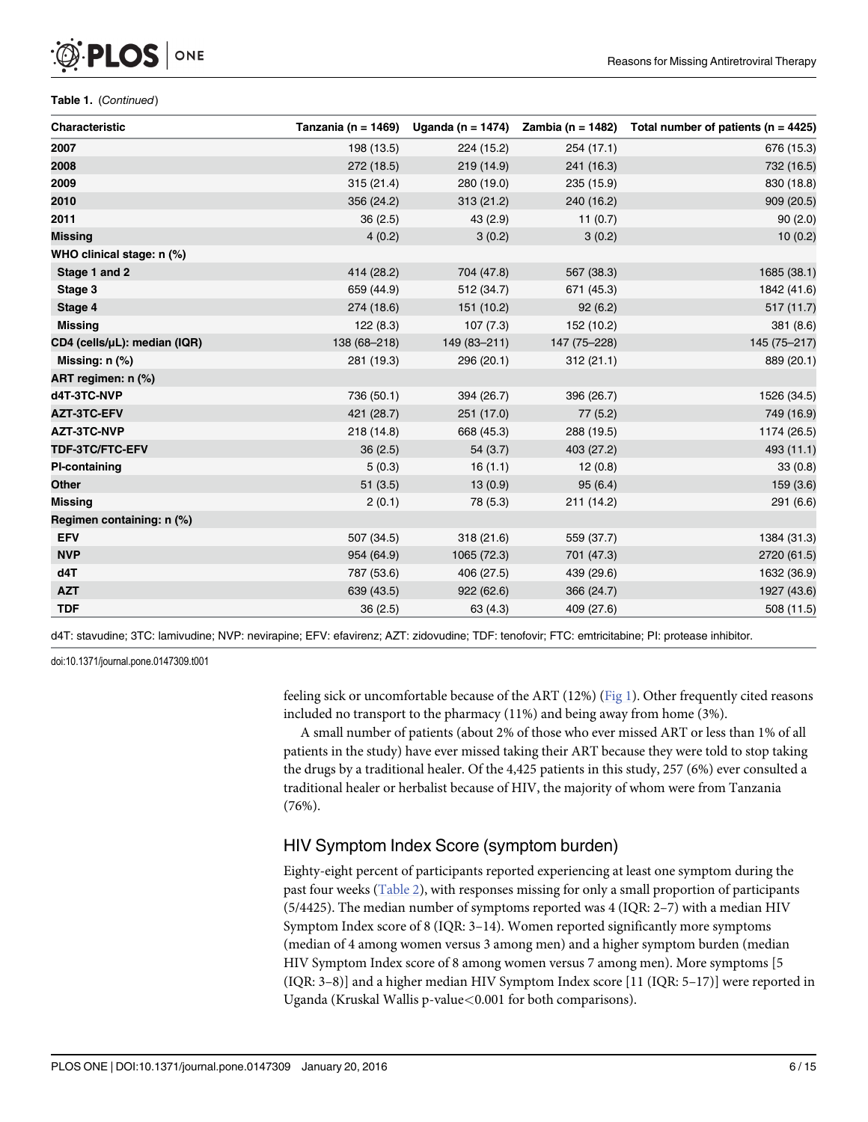#### Table 1. (Continued)

<span id="page-5-0"></span>PLOS I

ONE

| Characteristic               |              |              |              | Tanzania (n = 1469) Uganda (n = 1474) Zambia (n = 1482) Total number of patients (n = 4425) |
|------------------------------|--------------|--------------|--------------|---------------------------------------------------------------------------------------------|
| 2007                         | 198 (13.5)   | 224 (15.2)   | 254(17.1)    | 676 (15.3)                                                                                  |
| 2008                         | 272 (18.5)   | 219(14.9)    | 241 (16.3)   | 732 (16.5)                                                                                  |
| 2009                         | 315(21.4)    | 280 (19.0)   | 235 (15.9)   | 830 (18.8)                                                                                  |
| 2010                         | 356 (24.2)   | 313(21.2)    | 240 (16.2)   | 909 (20.5)                                                                                  |
| 2011                         | 36(2.5)      | 43(2.9)      | 11(0.7)      | 90(2.0)                                                                                     |
| <b>Missing</b>               | 4(0.2)       | 3(0.2)       | 3(0.2)       | 10(0.2)                                                                                     |
| WHO clinical stage: n (%)    |              |              |              |                                                                                             |
| Stage 1 and 2                | 414 (28.2)   | 704 (47.8)   | 567 (38.3)   | 1685 (38.1)                                                                                 |
| Stage 3                      | 659 (44.9)   | 512 (34.7)   | 671 (45.3)   | 1842 (41.6)                                                                                 |
| Stage 4                      | 274 (18.6)   | 151 (10.2)   | 92(6.2)      | 517 (11.7)                                                                                  |
| <b>Missing</b>               | 122(8.3)     | 107(7.3)     | 152 (10.2)   | 381 (8.6)                                                                                   |
| CD4 (cells/µL): median (IQR) | 138 (68-218) | 149 (83-211) | 147 (75-228) | 145 (75-217)                                                                                |
| Missing: $n$ $%$             | 281 (19.3)   | 296 (20.1)   | 312(21.1)    | 889 (20.1)                                                                                  |
| ART regimen: n (%)           |              |              |              |                                                                                             |
| d4T-3TC-NVP                  | 736 (50.1)   | 394 (26.7)   | 396 (26.7)   | 1526 (34.5)                                                                                 |
| <b>AZT-3TC-EFV</b>           | 421 (28.7)   | 251 (17.0)   | 77(5.2)      | 749 (16.9)                                                                                  |
| AZT-3TC-NVP                  | 218 (14.8)   | 668 (45.3)   | 288 (19.5)   | 1174 (26.5)                                                                                 |
| TDF-3TC/FTC-EFV              | 36(2.5)      | 54(3.7)      | 403 (27.2)   | 493 (11.1)                                                                                  |
| <b>PI-containing</b>         | 5(0.3)       | 16(1.1)      | 12(0.8)      | 33(0.8)                                                                                     |
| <b>Other</b>                 | 51(3.5)      | 13(0.9)      | 95(6.4)      | 159 (3.6)                                                                                   |
| <b>Missing</b>               | 2(0.1)       | 78 (5.3)     | 211 (14.2)   | 291 (6.6)                                                                                   |
| Regimen containing: n (%)    |              |              |              |                                                                                             |
| <b>EFV</b>                   | 507 (34.5)   | 318(21.6)    | 559 (37.7)   | 1384 (31.3)                                                                                 |
| <b>NVP</b>                   | 954 (64.9)   | 1065 (72.3)  | 701 (47.3)   | 2720 (61.5)                                                                                 |
| d4T                          | 787 (53.6)   | 406 (27.5)   | 439 (29.6)   | 1632 (36.9)                                                                                 |
| <b>AZT</b>                   | 639 (43.5)   | 922(62.6)    | 366 (24.7)   | 1927 (43.6)                                                                                 |
| <b>TDF</b>                   | 36(2.5)      | 63 (4.3)     | 409 (27.6)   | 508 (11.5)                                                                                  |

d4T: stavudine; 3TC: lamivudine; NVP: nevirapine; EFV: efavirenz; AZT: zidovudine; TDF: tenofovir; FTC: emtricitabine; PI: protease inhibitor.

doi:10.1371/journal.pone.0147309.t001

feeling sick or uncomfortable because of the ART (12%) ([Fig 1\)](#page-6-0). Other frequently cited reasons included no transport to the pharmacy (11%) and being away from home (3%).

A small number of patients (about 2% of those who ever missed ART or less than 1% of all patients in the study) have ever missed taking their ART because they were told to stop taking the drugs by a traditional healer. Of the 4,425 patients in this study, 257 (6%) ever consulted a traditional healer or herbalist because of HIV, the majority of whom were from Tanzania (76%).

# HIV Symptom Index Score (symptom burden)

Eighty-eight percent of participants reported experiencing at least one symptom during the past four weeks ([Table 2\)](#page-7-0), with responses missing for only a small proportion of participants (5/4425). The median number of symptoms reported was 4 (IQR: 2–7) with a median HIV Symptom Index score of 8 (IQR: 3–14). Women reported significantly more symptoms (median of 4 among women versus 3 among men) and a higher symptom burden (median HIV Symptom Index score of 8 among women versus 7 among men). More symptoms [5 (IQR: 3–8)] and a higher median HIV Symptom Index score [11 (IQR: 5–17)] were reported in Uganda (Kruskal Wallis p-value<0.001 for both comparisons).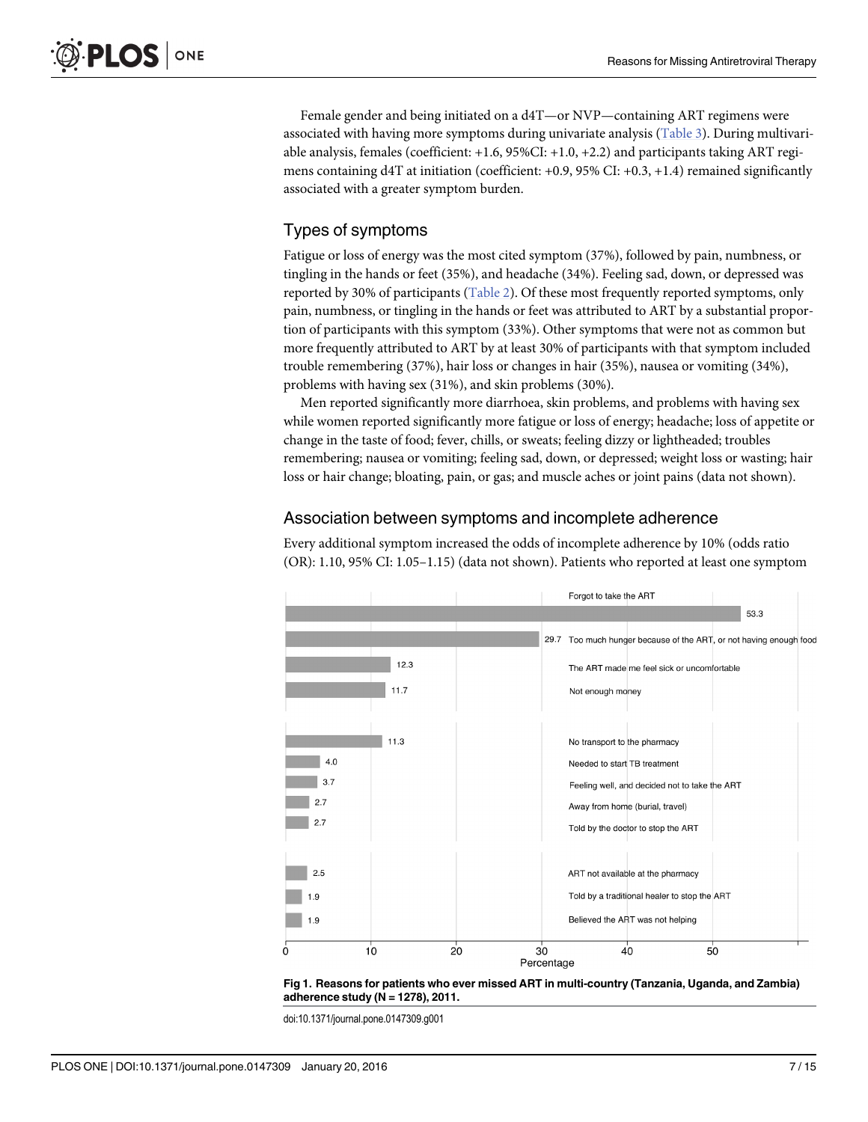<span id="page-6-0"></span>Female gender and being initiated on a d4T—or NVP—containing ART regimens were associated with having more symptoms during univariate analysis [\(Table 3](#page-8-0)). During multivariable analysis, females (coefficient: +1.6, 95%CI: +1.0, +2.2) and participants taking ART regimens containing d4T at initiation (coefficient: +0.9, 95% CI: +0.3, +1.4) remained significantly associated with a greater symptom burden.

# Types of symptoms

Fatigue or loss of energy was the most cited symptom (37%), followed by pain, numbness, or tingling in the hands or feet (35%), and headache (34%). Feeling sad, down, or depressed was reported by 30% of participants [\(Table 2\)](#page-7-0). Of these most frequently reported symptoms, only pain, numbness, or tingling in the hands or feet was attributed to ART by a substantial proportion of participants with this symptom (33%). Other symptoms that were not as common but more frequently attributed to ART by at least 30% of participants with that symptom included trouble remembering (37%), hair loss or changes in hair (35%), nausea or vomiting (34%), problems with having sex (31%), and skin problems (30%).

Men reported significantly more diarrhoea, skin problems, and problems with having sex while women reported significantly more fatigue or loss of energy; headache; loss of appetite or change in the taste of food; fever, chills, or sweats; feeling dizzy or lightheaded; troubles remembering; nausea or vomiting; feeling sad, down, or depressed; weight loss or wasting; hair loss or hair change; bloating, pain, or gas; and muscle aches or joint pains (data not shown).

# Association between symptoms and incomplete adherence

Every additional symptom increased the odds of incomplete adherence by 10% (odds ratio (OR): 1.10, 95% CI: 1.05–1.15) (data not shown). Patients who reported at least one symptom





doi:10.1371/journal.pone.0147309.g001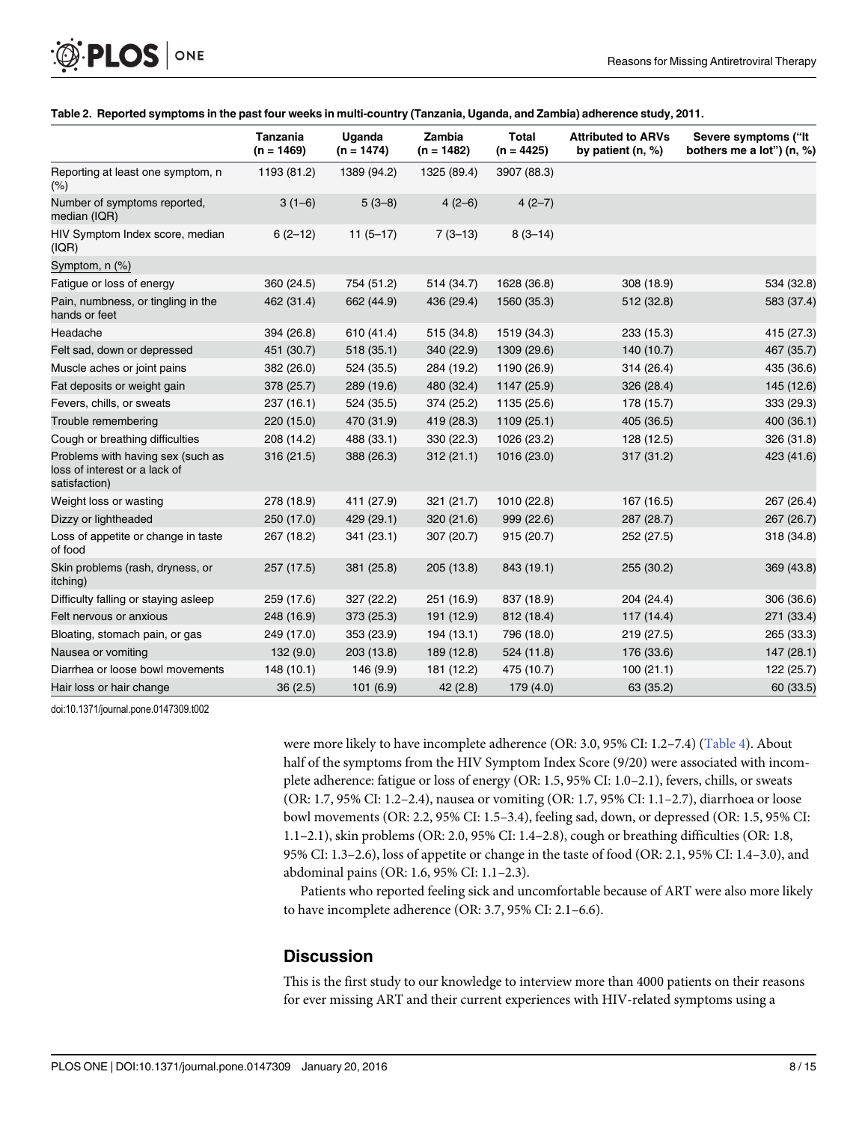|                                                                                     | Tanzania<br>$(n = 1469)$ | Uganda<br>$(n = 1474)$ | Zambia<br>$(n = 1482)$ | <b>Total</b><br>$(n = 4425)$ | <b>Attributed to ARVs</b><br>by patient $(n, %)$ | Severe symptoms ("It<br>bothers me a lot") (n, %) |
|-------------------------------------------------------------------------------------|--------------------------|------------------------|------------------------|------------------------------|--------------------------------------------------|---------------------------------------------------|
| Reporting at least one symptom, n<br>$(\% )$                                        | 1193 (81.2)              | 1389 (94.2)            | 1325 (89.4)            | 3907 (88.3)                  |                                                  |                                                   |
| Number of symptoms reported,<br>median (IQR)                                        | $3(1-6)$                 | $5(3-8)$               | $4(2-6)$               | $4(2-7)$                     |                                                  |                                                   |
| HIV Symptom Index score, median<br>(IQR)                                            | $6(2-12)$                | $11(5-17)$             | $7(3-13)$              | $8(3-14)$                    |                                                  |                                                   |
| Symptom, $n$ (%)                                                                    |                          |                        |                        |                              |                                                  |                                                   |
| Fatigue or loss of energy                                                           | 360 (24.5)               | 754 (51.2)             | 514 (34.7)             | 1628 (36.8)                  | 308 (18.9)                                       | 534 (32.8)                                        |
| Pain, numbness, or tingling in the<br>hands or feet                                 | 462 (31.4)               | 662 (44.9)             | 436 (29.4)             | 1560 (35.3)                  | 512 (32.8)                                       | 583 (37.4)                                        |
| Headache                                                                            | 394 (26.8)               | 610 (41.4)             | 515 (34.8)             | 1519 (34.3)                  | 233 (15.3)                                       | 415 (27.3)                                        |
| Felt sad, down or depressed                                                         | 451 (30.7)               | 518 (35.1)             | 340 (22.9)             | 1309 (29.6)                  | 140 (10.7)                                       | 467 (35.7)                                        |
| Muscle aches or joint pains                                                         | 382 (26.0)               | 524 (35.5)             | 284 (19.2)             | 1190 (26.9)                  | 314 (26.4)                                       | 435 (36.6)                                        |
| Fat deposits or weight gain                                                         | 378 (25.7)               | 289 (19.6)             | 480 (32.4)             | 1147 (25.9)                  | 326 (28.4)                                       | 145 (12.6)                                        |
| Fevers, chills, or sweats                                                           | 237 (16.1)               | 524 (35.5)             | 374 (25.2)             | 1135 (25.6)                  | 178 (15.7)                                       | 333 (29.3)                                        |
| Trouble remembering                                                                 | 220 (15.0)               | 470 (31.9)             | 419 (28.3)             | 1109 (25.1)                  | 405 (36.5)                                       | 400 (36.1)                                        |
| Cough or breathing difficulties                                                     | 208 (14.2)               | 488 (33.1)             | 330 (22.3)             | 1026 (23.2)                  | 128 (12.5)                                       | 326 (31.8)                                        |
| Problems with having sex (such as<br>loss of interest or a lack of<br>satisfaction) | 316 (21.5)               | 388 (26.3)             | 312(21.1)              | 1016 (23.0)                  | 317 (31.2)                                       | 423 (41.6)                                        |
| Weight loss or wasting                                                              | 278 (18.9)               | 411 (27.9)             | 321 (21.7)             | 1010 (22.8)                  | 167 (16.5)                                       | 267 (26.4)                                        |
| Dizzy or lightheaded                                                                | 250 (17.0)               | 429 (29.1)             | 320(21.6)              | 999 (22.6)                   | 287 (28.7)                                       | 267 (26.7)                                        |
| Loss of appetite or change in taste<br>of food                                      | 267 (18.2)               | 341 (23.1)             | 307 (20.7)             | 915 (20.7)                   | 252 (27.5)                                       | 318 (34.8)                                        |
| Skin problems (rash, dryness, or<br>itching)                                        | 257 (17.5)               | 381 (25.8)             | 205(13.8)              | 843 (19.1)                   | 255 (30.2)                                       | 369 (43.8)                                        |
| Difficulty falling or staying asleep                                                | 259 (17.6)               | 327 (22.2)             | 251 (16.9)             | 837 (18.9)                   | 204 (24.4)                                       | 306 (36.6)                                        |
| Felt nervous or anxious                                                             | 248 (16.9)               | 373 (25.3)             | 191 (12.9)             | 812 (18.4)                   | 117 (14.4)                                       | 271 (33.4)                                        |
| Bloating, stomach pain, or gas                                                      | 249 (17.0)               | 353 (23.9)             | 194 (13.1)             | 796 (18.0)                   | 219 (27.5)                                       | 265 (33.3)                                        |
| Nausea or vomiting                                                                  | 132(9.0)                 | 203 (13.8)             | 189 (12.8)             | 524 (11.8)                   | 176 (33.6)                                       | 147 (28.1)                                        |
| Diarrhea or loose bowl movements                                                    | 148 (10.1)               | 146 (9.9)              | 181 (12.2)             | 475 (10.7)                   | 100(21.1)                                        | 122 (25.7)                                        |
| Hair loss or hair change                                                            | 36(2.5)                  | 101(6.9)               | 42(2.8)                | 179 (4.0)                    | 63 (35.2)                                        | 60 (33.5)                                         |

#### [Table 2.](#page-5-0) Reported symptoms in the past four weeks in multi-country (Tanzania, Uganda, and Zambia) adherence study, 2011.

doi:10.1371/journal.pone.0147309.t002

<span id="page-7-0"></span>PLOS ONE

were more likely to have incomplete adherence (OR: 3.0, 95% CI: 1.2–7.4) ([Table 4](#page-9-0)). About half of the symptoms from the HIV Symptom Index Score (9/20) were associated with incomplete adherence: fatigue or loss of energy (OR: 1.5, 95% CI: 1.0–2.1), fevers, chills, or sweats (OR: 1.7, 95% CI: 1.2–2.4), nausea or vomiting (OR: 1.7, 95% CI: 1.1–2.7), diarrhoea or loose bowl movements (OR: 2.2, 95% CI: 1.5–3.4), feeling sad, down, or depressed (OR: 1.5, 95% CI: 1.1–2.1), skin problems (OR: 2.0, 95% CI: 1.4–2.8), cough or breathing difficulties (OR: 1.8, 95% CI: 1.3–2.6), loss of appetite or change in the taste of food (OR: 2.1, 95% CI: 1.4–3.0), and abdominal pains (OR: 1.6, 95% CI: 1.1–2.3).

Patients who reported feeling sick and uncomfortable because of ART were also more likely to have incomplete adherence (OR: 3.7, 95% CI: 2.1–6.6).

# **Discussion**

This is the first study to our knowledge to interview more than 4000 patients on their reasons for ever missing ART and their current experiences with HIV-related symptoms using a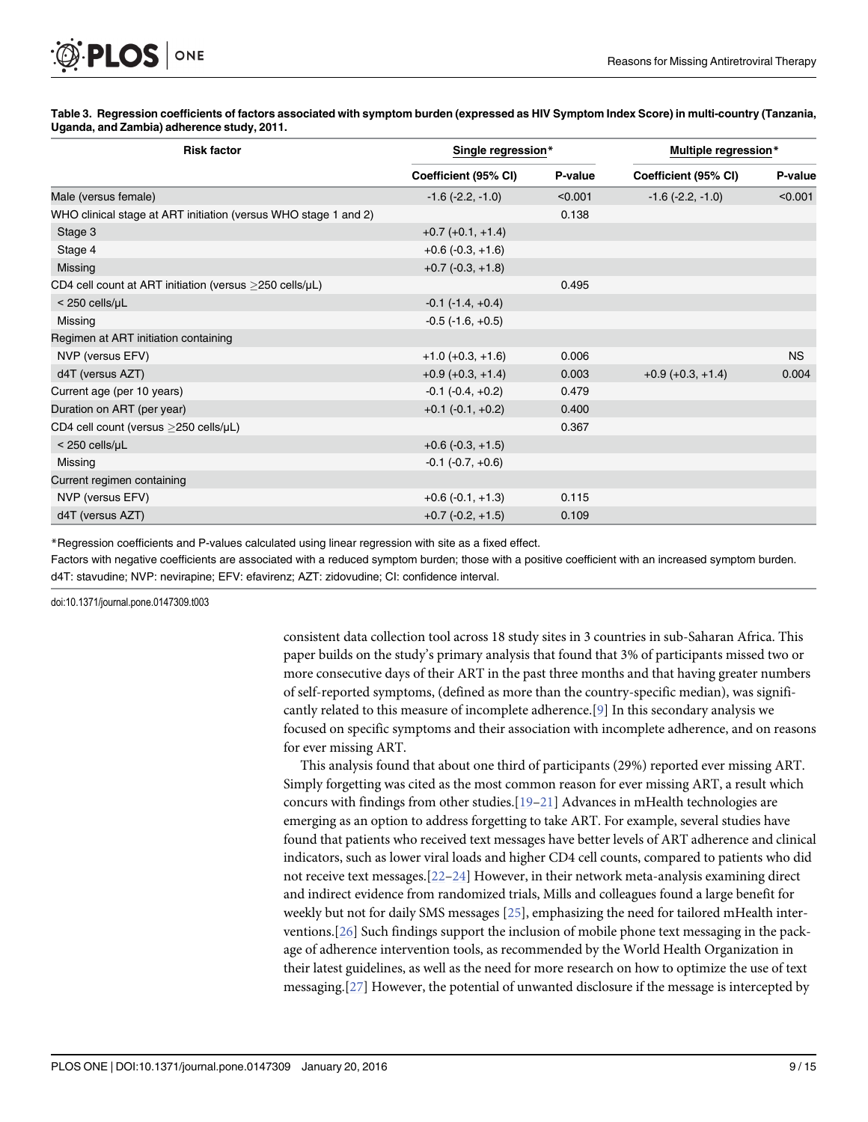#### <span id="page-8-0"></span>[Table 3.](#page-6-0) Regression coefficients of factors associated with symptom burden (expressed as HIV Symptom Index Score) in multi-country (Tanzania, Uganda, and Zambia) adherence study, 2011.

| <b>Risk factor</b>                                               | Single regression*         |         | Multiple regression*    |           |
|------------------------------------------------------------------|----------------------------|---------|-------------------------|-----------|
|                                                                  | Coefficient (95% CI)       | P-value | Coefficient (95% CI)    | P-value   |
| Male (versus female)                                             | $-1.6$ ( $-2.2, -1.0$ )    | < 0.001 | $-1.6$ ( $-2.2, -1.0$ ) | < 0.001   |
| WHO clinical stage at ART initiation (versus WHO stage 1 and 2)  |                            | 0.138   |                         |           |
| Stage 3                                                          | $+0.7$ (+0.1, +1.4)        |         |                         |           |
| Stage 4                                                          | $+0.6$ ( $-0.3, +1.6$ )    |         |                         |           |
| Missing                                                          | $+0.7$ ( $-0.3, +1.8$ )    |         |                         |           |
| CD4 cell count at ART initiation (versus $>$ 250 cells/ $\mu$ L) |                            | 0.495   |                         |           |
| $<$ 250 cells/ $\mu$ L                                           | $-0.1$ ( $-1.4$ , $+0.4$ ) |         |                         |           |
| Missing                                                          | $-0.5$ ( $-1.6$ , $+0.5$ ) |         |                         |           |
| Regimen at ART initiation containing                             |                            |         |                         |           |
| NVP (versus EFV)                                                 | $+1.0 (+0.3, +1.6)$        | 0.006   |                         | <b>NS</b> |
| d4T (versus AZT)                                                 | $+0.9 (+0.3, +1.4)$        | 0.003   | $+0.9 (+0.3, +1.4)$     | 0.004     |
| Current age (per 10 years)                                       | $-0.1$ $(-0.4, +0.2)$      | 0.479   |                         |           |
| Duration on ART (per year)                                       | $+0.1$ (-0.1, $+0.2$ )     | 0.400   |                         |           |
| CD4 cell count (versus >250 cells/µL)                            |                            | 0.367   |                         |           |
| < 250 cells/µL                                                   | $+0.6$ ( $-0.3, +1.5$ )    |         |                         |           |
| Missing                                                          | $-0.1$ $(-0.7, +0.6)$      |         |                         |           |
| Current regimen containing                                       |                            |         |                         |           |
| NVP (versus EFV)                                                 | $+0.6(-0.1,+1.3)$          | 0.115   |                         |           |
| d4T (versus AZT)                                                 | $+0.7$ (-0.2, +1.5)        | 0.109   |                         |           |

\*Regression coefficients and P-values calculated using linear regression with site as a fixed effect.

Factors with negative coefficients are associated with a reduced symptom burden; those with a positive coefficient with an increased symptom burden. d4T: stavudine; NVP: nevirapine; EFV: efavirenz; AZT: zidovudine; CI: confidence interval.

doi:10.1371/journal.pone.0147309.t003

consistent data collection tool across 18 study sites in 3 countries in sub-Saharan Africa. This paper builds on the study's primary analysis that found that 3% of participants missed two or more consecutive days of their ART in the past three months and that having greater numbers of self-reported symptoms, (defined as more than the country-specific median), was significantly related to this measure of incomplete adherence.[\[9\]](#page-12-0) In this secondary analysis we focused on specific symptoms and their association with incomplete adherence, and on reasons for ever missing ART.

This analysis found that about one third of participants (29%) reported ever missing ART. Simply forgetting was cited as the most common reason for ever missing ART, a result which concurs with findings from other studies. $[19-21]$  $[19-21]$  $[19-21]$  Advances in mHealth technologies are emerging as an option to address forgetting to take ART. For example, several studies have found that patients who received text messages have better levels of ART adherence and clinical indicators, such as lower viral loads and higher CD4 cell counts, compared to patients who did not receive text messages.[\[22](#page-13-0)–[24\]](#page-13-0) However, in their network meta-analysis examining direct and indirect evidence from randomized trials, Mills and colleagues found a large benefit for weekly but not for daily SMS messages  $[25]$ , emphasizing the need for tailored mHealth interventions.[[26](#page-13-0)] Such findings support the inclusion of mobile phone text messaging in the package of adherence intervention tools, as recommended by the World Health Organization in their latest guidelines, as well as the need for more research on how to optimize the use of text messaging.[[27](#page-13-0)] However, the potential of unwanted disclosure if the message is intercepted by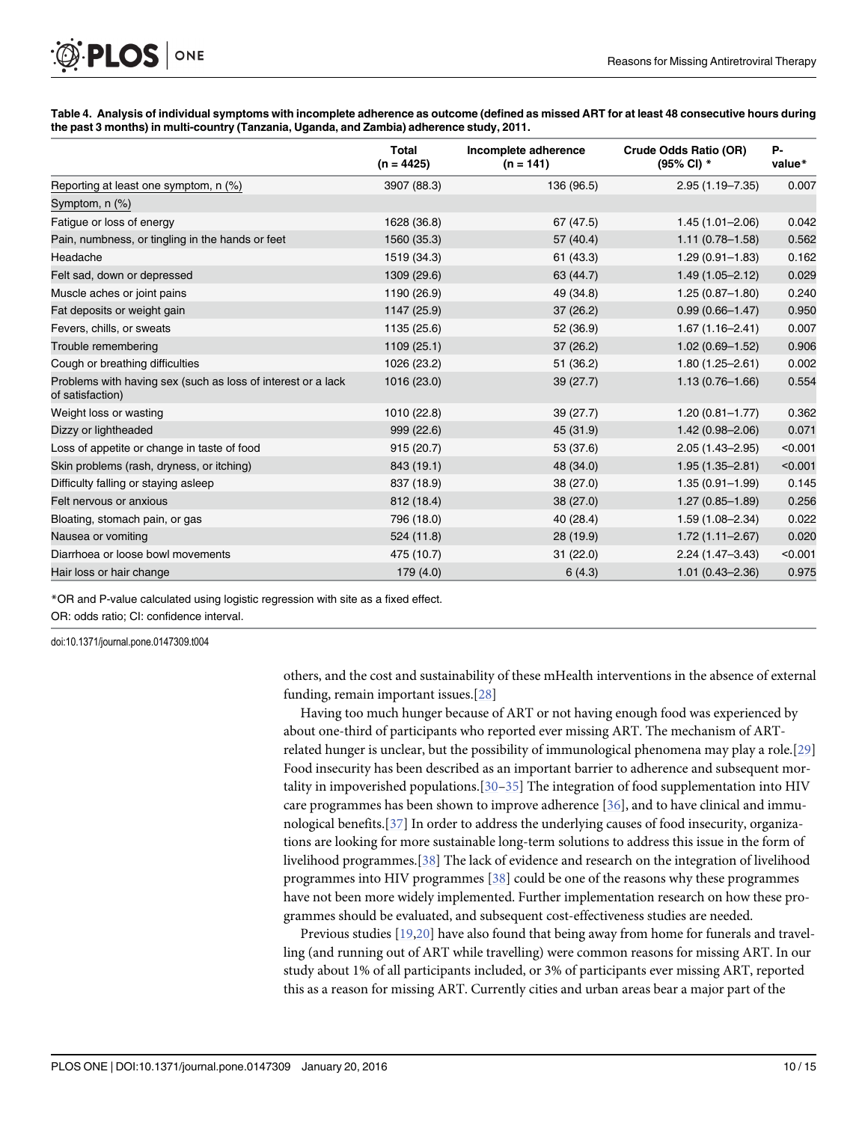<span id="page-9-0"></span>

| Table 4. Analysis of individual symptoms with incomplete adherence as outcome (defined as missed ART for at least 48 consecutive hours during |  |
|-----------------------------------------------------------------------------------------------------------------------------------------------|--|
| the past 3 months) in multi-country (Tanzania, Uganda, and Zambia) adherence study, 2011.                                                     |  |

|                                                                                  | Total<br>$(n = 4425)$ | Incomplete adherence<br>$(n = 141)$ | Crude Odds Ratio (OR)<br>(95% CI) * | Р-<br>value* |
|----------------------------------------------------------------------------------|-----------------------|-------------------------------------|-------------------------------------|--------------|
| Reporting at least one symptom, n (%)                                            | 3907 (88.3)           | 136 (96.5)                          | 2.95 (1.19-7.35)                    | 0.007        |
| Symptom, $n$ $(\%)$                                                              |                       |                                     |                                     |              |
| Fatigue or loss of energy                                                        | 1628 (36.8)           | 67 (47.5)                           | $1.45(1.01 - 2.06)$                 | 0.042        |
| Pain, numbness, or tingling in the hands or feet                                 | 1560 (35.3)           | 57 (40.4)                           | $1.11(0.78 - 1.58)$                 | 0.562        |
| Headache                                                                         | 1519 (34.3)           | 61(43.3)                            | $1.29(0.91 - 1.83)$                 | 0.162        |
| Felt sad, down or depressed                                                      | 1309 (29.6)           | 63 (44.7)                           | $1.49(1.05 - 2.12)$                 | 0.029        |
| Muscle aches or joint pains                                                      | 1190 (26.9)           | 49 (34.8)                           | $1.25(0.87 - 1.80)$                 | 0.240        |
| Fat deposits or weight gain                                                      | 1147 (25.9)           | 37(26.2)                            | $0.99(0.66 - 1.47)$                 | 0.950        |
| Fevers, chills, or sweats                                                        | 1135 (25.6)           | 52 (36.9)                           | $1.67(1.16 - 2.41)$                 | 0.007        |
| Trouble remembering                                                              | 1109(25.1)            | 37(26.2)                            | $1.02(0.69 - 1.52)$                 | 0.906        |
| Cough or breathing difficulties                                                  | 1026 (23.2)           | 51 (36.2)                           | $1.80(1.25 - 2.61)$                 | 0.002        |
| Problems with having sex (such as loss of interest or a lack<br>of satisfaction) | 1016 (23.0)           | 39(27.7)                            | $1.13(0.76 - 1.66)$                 | 0.554        |
| Weight loss or wasting                                                           | 1010 (22.8)           | 39(27.7)                            | $1.20(0.81 - 1.77)$                 | 0.362        |
| Dizzy or lightheaded                                                             | 999 (22.6)            | 45 (31.9)                           | $1.42(0.98 - 2.06)$                 | 0.071        |
| Loss of appetite or change in taste of food                                      | 915 (20.7)            | 53 (37.6)                           | $2.05(1.43 - 2.95)$                 | < 0.001      |
| Skin problems (rash, dryness, or itching)                                        | 843 (19.1)            | 48 (34.0)                           | $1.95(1.35 - 2.81)$                 | < 0.001      |
| Difficulty falling or staying asleep                                             | 837 (18.9)            | 38 (27.0)                           | $1.35(0.91 - 1.99)$                 | 0.145        |
| Felt nervous or anxious                                                          | 812 (18.4)            | 38 (27.0)                           | $1.27(0.85 - 1.89)$                 | 0.256        |
| Bloating, stomach pain, or gas                                                   | 796 (18.0)            | 40 (28.4)                           | $1.59(1.08 - 2.34)$                 | 0.022        |
| Nausea or vomiting                                                               | 524 (11.8)            | 28(19.9)                            | $1.72(1.11 - 2.67)$                 | 0.020        |
| Diarrhoea or loose bowl movements                                                | 475 (10.7)            | 31 (22.0)                           | $2.24(1.47 - 3.43)$                 | < 0.001      |
| Hair loss or hair change                                                         | 179(4.0)              | 6(4.3)                              | $1.01(0.43 - 2.36)$                 | 0.975        |

\*OR and P-value calculated using logistic regression with site as a fixed effect. OR: odds ratio; CI: confidence interval.

doi:10.1371/journal.pone.0147309.t004

others, and the cost and sustainability of these mHealth interventions in the absence of external funding, remain important issues.[[28](#page-13-0)]

Having too much hunger because of ART or not having enough food was experienced by about one-third of participants who reported ever missing ART. The mechanism of ARTrelated hunger is unclear, but the possibility of immunological phenomena may play a role.[[29](#page-13-0)] Food insecurity has been described as an important barrier to adherence and subsequent mortality in impoverished populations.  $[30-35]$  $[30-35]$  $[30-35]$  $[30-35]$  $[30-35]$  The integration of food supplementation into HIV care programmes has been shown to improve adherence [\[36\]](#page-13-0), and to have clinical and immunological benefits.[[37\]](#page-13-0) In order to address the underlying causes of food insecurity, organizations are looking for more sustainable long-term solutions to address this issue in the form of livelihood programmes.[[38\]](#page-14-0) The lack of evidence and research on the integration of livelihood programmes into HIV programmes [\[38\]](#page-14-0) could be one of the reasons why these programmes have not been more widely implemented. Further implementation research on how these programmes should be evaluated, and subsequent cost-effectiveness studies are needed.

Previous studies [[19](#page-12-0),[20](#page-12-0)] have also found that being away from home for funerals and travelling (and running out of ART while travelling) were common reasons for missing ART. In our study about 1% of all participants included, or 3% of participants ever missing ART, reported this as a reason for missing ART. Currently cities and urban areas bear a major part of the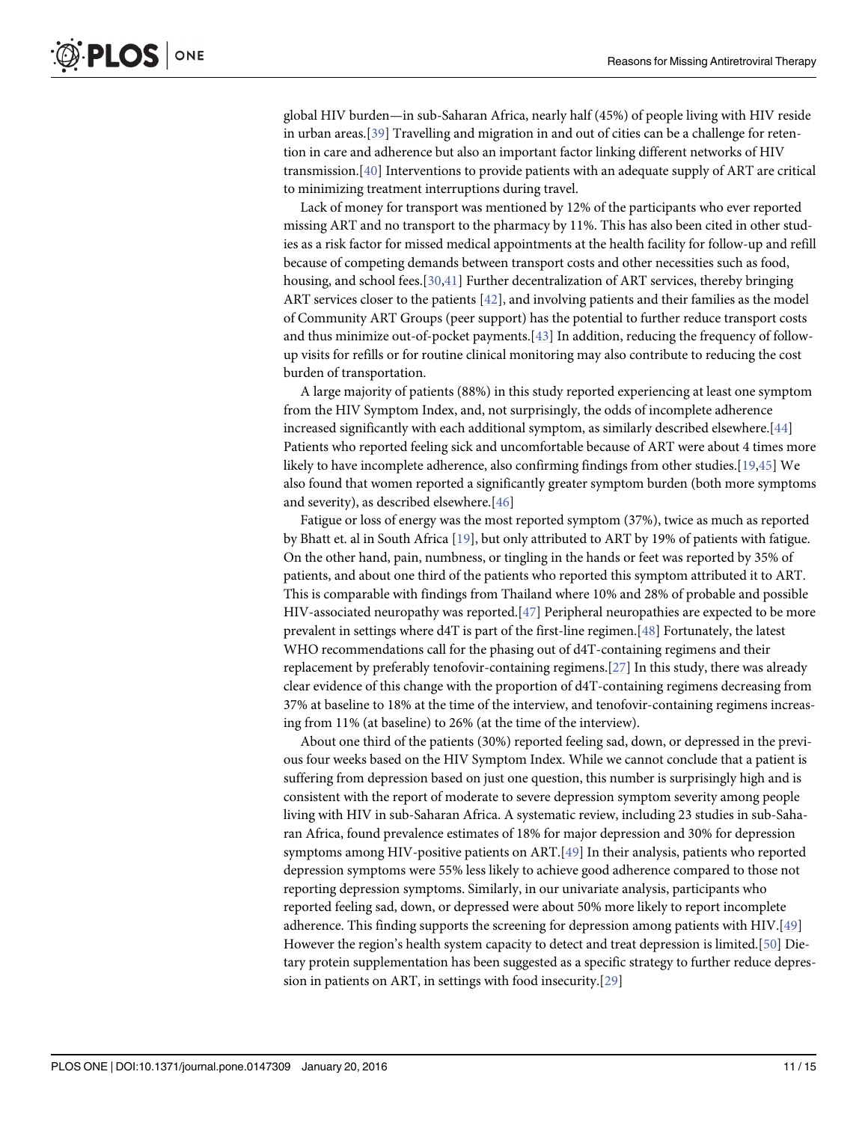<span id="page-10-0"></span>global HIV burden—in sub-Saharan Africa, nearly half (45%) of people living with HIV reside in urban areas.[[39\]](#page-14-0) Travelling and migration in and out of cities can be a challenge for retention in care and adherence but also an important factor linking different networks of HIV transmission.[[40](#page-14-0)] Interventions to provide patients with an adequate supply of ART are critical to minimizing treatment interruptions during travel.

Lack of money for transport was mentioned by 12% of the participants who ever reported missing ART and no transport to the pharmacy by 11%. This has also been cited in other studies as a risk factor for missed medical appointments at the health facility for follow-up and refill because of competing demands between transport costs and other necessities such as food, housing, and school fees.[[30](#page-13-0),[41](#page-14-0)] Further decentralization of ART services, thereby bringing ART services closer to the patients [[42](#page-14-0)], and involving patients and their families as the model of Community ART Groups (peer support) has the potential to further reduce transport costs and thus minimize out-of-pocket payments.[[43](#page-14-0)] In addition, reducing the frequency of followup visits for refills or for routine clinical monitoring may also contribute to reducing the cost burden of transportation.

A large majority of patients (88%) in this study reported experiencing at least one symptom from the HIV Symptom Index, and, not surprisingly, the odds of incomplete adherence increased significantly with each additional symptom, as similarly described elsewhere.[\[44](#page-14-0)] Patients who reported feeling sick and uncomfortable because of ART were about 4 times more likely to have incomplete adherence, also confirming findings from other studies.[[19](#page-12-0)[,45\]](#page-14-0) We also found that women reported a significantly greater symptom burden (both more symptoms and severity), as described elsewhere.[[46\]](#page-14-0)

Fatigue or loss of energy was the most reported symptom (37%), twice as much as reported by Bhatt et. al in South Africa [\[19\]](#page-12-0), but only attributed to ART by 19% of patients with fatigue. On the other hand, pain, numbness, or tingling in the hands or feet was reported by 35% of patients, and about one third of the patients who reported this symptom attributed it to ART. This is comparable with findings from Thailand where 10% and 28% of probable and possible HIV-associated neuropathy was reported.[[47](#page-14-0)] Peripheral neuropathies are expected to be more prevalent in settings where d4T is part of the first-line regimen.[[48\]](#page-14-0) Fortunately, the latest WHO recommendations call for the phasing out of d4T-containing regimens and their replacement by preferably tenofovir-containing regimens.[\[27\]](#page-13-0) In this study, there was already clear evidence of this change with the proportion of d4T-containing regimens decreasing from 37% at baseline to 18% at the time of the interview, and tenofovir-containing regimens increasing from 11% (at baseline) to 26% (at the time of the interview).

About one third of the patients (30%) reported feeling sad, down, or depressed in the previous four weeks based on the HIV Symptom Index. While we cannot conclude that a patient is suffering from depression based on just one question, this number is surprisingly high and is consistent with the report of moderate to severe depression symptom severity among people living with HIV in sub-Saharan Africa. A systematic review, including 23 studies in sub-Saharan Africa, found prevalence estimates of 18% for major depression and 30% for depression symptoms among HIV-positive patients on ART.[[49\]](#page-14-0) In their analysis, patients who reported depression symptoms were 55% less likely to achieve good adherence compared to those not reporting depression symptoms. Similarly, in our univariate analysis, participants who reported feeling sad, down, or depressed were about 50% more likely to report incomplete adherence. This finding supports the screening for depression among patients with HIV.[\[49\]](#page-14-0) However the region's health system capacity to detect and treat depression is limited.[[50](#page-14-0)] Dietary protein supplementation has been suggested as a specific strategy to further reduce depression in patients on ART, in settings with food insecurity.[[29](#page-13-0)]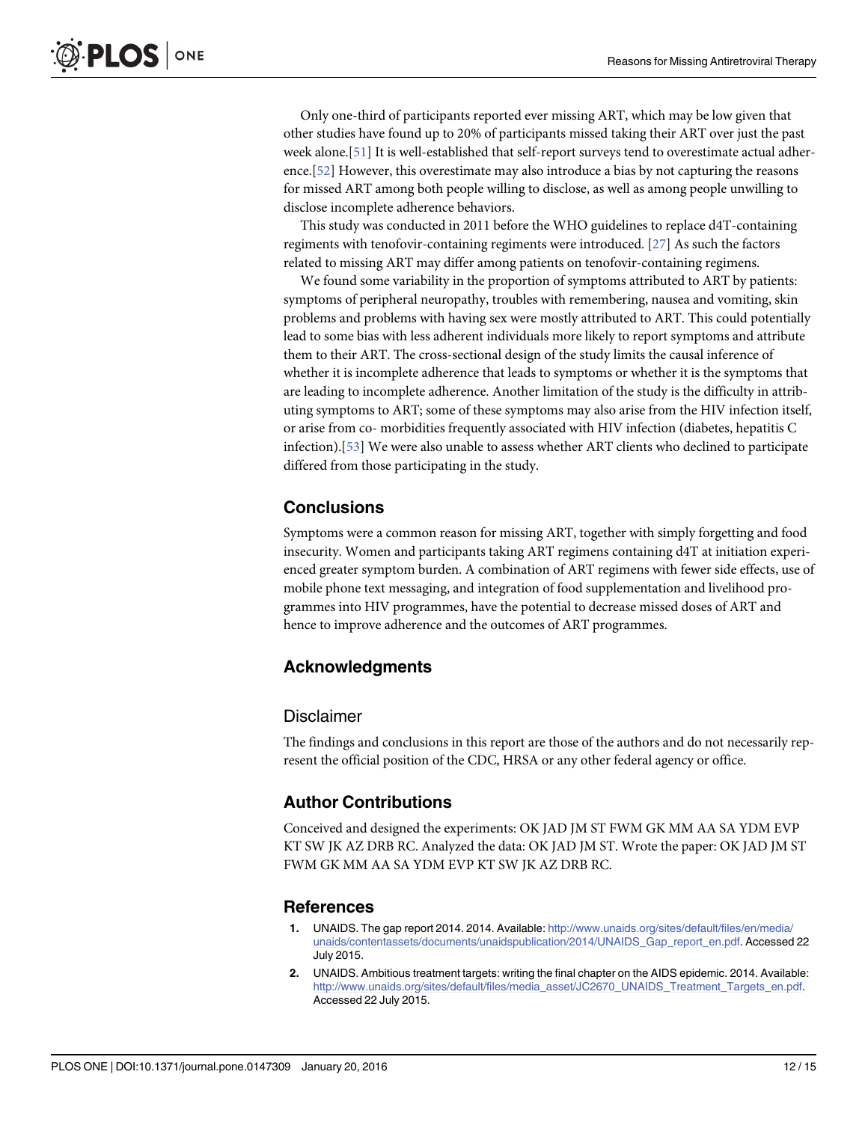<span id="page-11-0"></span>Only one-third of participants reported ever missing ART, which may be low given that other studies have found up to 20% of participants missed taking their ART over just the past week alone.[\[51\]](#page-14-0) It is well-established that self-report surveys tend to overestimate actual adherence.[[52](#page-14-0)] However, this overestimate may also introduce a bias by not capturing the reasons for missed ART among both people willing to disclose, as well as among people unwilling to disclose incomplete adherence behaviors.

This study was conducted in 2011 before the WHO guidelines to replace d4T-containing regiments with tenofovir-containing regiments were introduced. [\[27\]](#page-13-0) As such the factors related to missing ART may differ among patients on tenofovir-containing regimens.

We found some variability in the proportion of symptoms attributed to ART by patients: symptoms of peripheral neuropathy, troubles with remembering, nausea and vomiting, skin problems and problems with having sex were mostly attributed to ART. This could potentially lead to some bias with less adherent individuals more likely to report symptoms and attribute them to their ART. The cross-sectional design of the study limits the causal inference of whether it is incomplete adherence that leads to symptoms or whether it is the symptoms that are leading to incomplete adherence. Another limitation of the study is the difficulty in attributing symptoms to ART; some of these symptoms may also arise from the HIV infection itself, or arise from co- morbidities frequently associated with HIV infection (diabetes, hepatitis C infection).[\[53\]](#page-14-0) We were also unable to assess whether ART clients who declined to participate differed from those participating in the study.

# **Conclusions**

Symptoms were a common reason for missing ART, together with simply forgetting and food insecurity. Women and participants taking ART regimens containing d4T at initiation experienced greater symptom burden. A combination of ART regimens with fewer side effects, use of mobile phone text messaging, and integration of food supplementation and livelihood programmes into HIV programmes, have the potential to decrease missed doses of ART and hence to improve adherence and the outcomes of ART programmes.

# Acknowledgments

#### Disclaimer

The findings and conclusions in this report are those of the authors and do not necessarily represent the official position of the CDC, HRSA or any other federal agency or office.

## Author Contributions

Conceived and designed the experiments: OK JAD JM ST FWM GK MM AA SA YDM EVP KT SW JK AZ DRB RC. Analyzed the data: OK JAD JM ST. Wrote the paper: OK JAD JM ST FWM GK MM AA SA YDM EVP KT SW JK AZ DRB RC.

# **References**

- UNAIDS. The gap report 2014. 2014. Available: [http://www.unaids.org/sites/default/files/en/media/](http://www.unaids.org/sites/default/files/en/media/unaids/contentassets/documents/unaidspublication/2014/UNAIDS_Gap_report_en.pdf) [unaids/contentassets/documents/unaidspublication/2014/UNAIDS\\_Gap\\_report\\_en.pdf](http://www.unaids.org/sites/default/files/en/media/unaids/contentassets/documents/unaidspublication/2014/UNAIDS_Gap_report_en.pdf). Accessed 22 July 2015.
- [2.](#page-1-0) UNAIDS. Ambitious treatment targets: writing the final chapter on the AIDS epidemic. 2014. Available: [http://www.unaids.org/sites/default/files/media\\_asset/JC2670\\_UNAIDS\\_Treatment\\_Targets\\_en.pdf.](http://www.unaids.org/sites/default/files/media_asset/JC2670_UNAIDS_Treatment_Targets_en.pdf) Accessed 22 July 2015.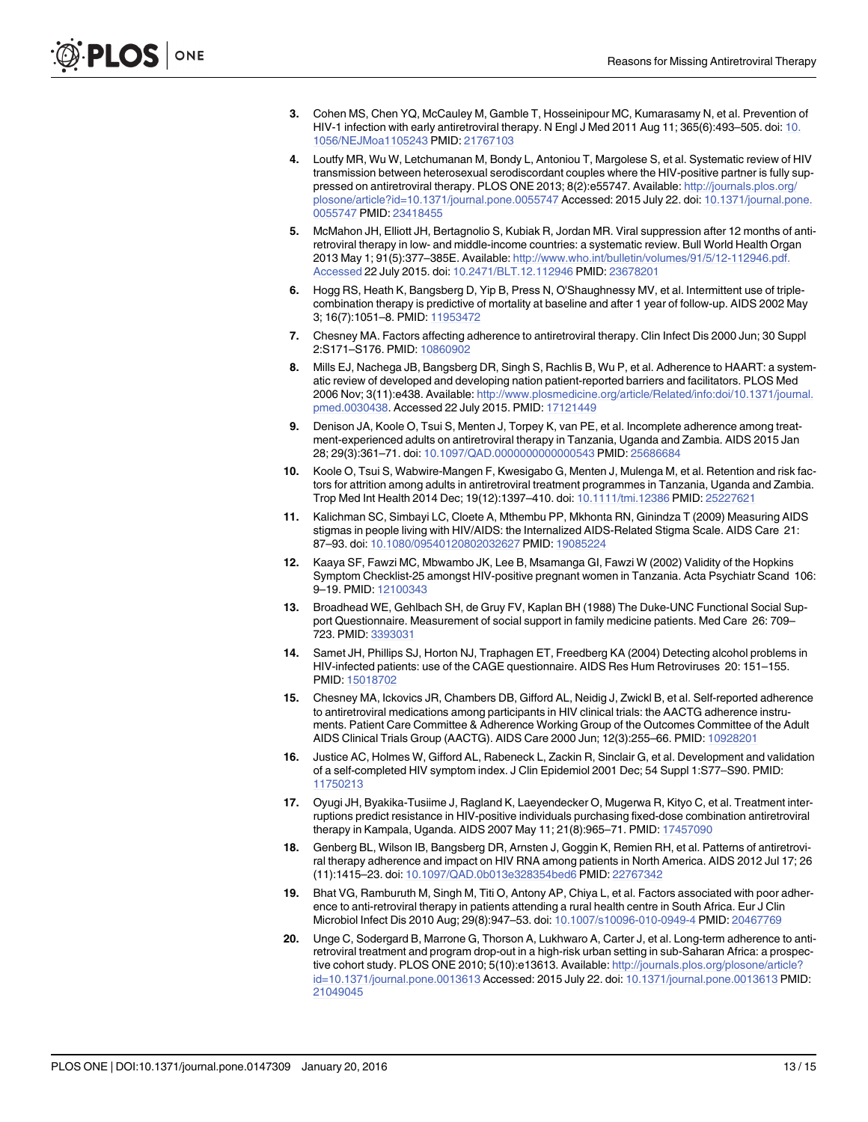- <span id="page-12-0"></span>[3.](#page-1-0) Cohen MS, Chen YQ, McCauley M, Gamble T, Hosseinipour MC, Kumarasamy N, et al. Prevention of HIV-1 infection with early antiretroviral therapy. N Engl J Med 2011 Aug 11; 365(6):493–505. doi: [10.](http://dx.doi.org/10.1056/NEJMoa1105243) [1056/NEJMoa1105243](http://dx.doi.org/10.1056/NEJMoa1105243) PMID: [21767103](http://www.ncbi.nlm.nih.gov/pubmed/21767103)
- [4.](#page-1-0) Loutfy MR, Wu W, Letchumanan M, Bondy L, Antoniou T, Margolese S, et al. Systematic review of HIV transmission between heterosexual serodiscordant couples where the HIV-positive partner is fully suppressed on antiretroviral therapy. PLOS ONE 2013; 8(2):e55747. Available: [http://journals.plos.org/](http://journals.plos.org/plosone/article?id=10.1371/journal.pone.0055747) [plosone/article?id=10.1371/journal.pone.0055747](http://journals.plos.org/plosone/article?id=10.1371/journal.pone.0055747) Accessed: 2015 July 22. doi: [10.1371/journal.pone.](http://dx.doi.org/10.1371/journal.pone.0055747) [0055747](http://dx.doi.org/10.1371/journal.pone.0055747) PMID: [23418455](http://www.ncbi.nlm.nih.gov/pubmed/23418455)
- [5.](#page-1-0) McMahon JH, Elliott JH, Bertagnolio S, Kubiak R, Jordan MR. Viral suppression after 12 months of antiretroviral therapy in low- and middle-income countries: a systematic review. Bull World Health Organ 2013 May 1; 91(5):377–385E. Available: [http://www.who.int/bulletin/volumes/91/5/12-112946.pdf.](http://www.who.int/bulletin/volumes/91/5/12-112946.pdf.Accessed) [Accessed](http://www.who.int/bulletin/volumes/91/5/12-112946.pdf.Accessed) 22 July 2015. doi: [10.2471/BLT.12.112946](http://dx.doi.org/10.2471/BLT.12.112946) PMID: [23678201](http://www.ncbi.nlm.nih.gov/pubmed/23678201)
- [6.](#page-1-0) Hogg RS, Heath K, Bangsberg D, Yip B, Press N, O'Shaughnessy MV, et al. Intermittent use of triplecombination therapy is predictive of mortality at baseline and after 1 year of follow-up. AIDS 2002 May 3; 16(7):1051–8. PMID: [11953472](http://www.ncbi.nlm.nih.gov/pubmed/11953472)
- [7.](#page-1-0) Chesney MA. Factors affecting adherence to antiretroviral therapy. Clin Infect Dis 2000 Jun; 30 Suppl 2:S171–S176. PMID: [10860902](http://www.ncbi.nlm.nih.gov/pubmed/10860902)
- [8.](#page-1-0) Mills EJ, Nachega JB, Bangsberg DR, Singh S, Rachlis B, Wu P, et al. Adherence to HAART: a systematic review of developed and developing nation patient-reported barriers and facilitators. PLOS Med 2006 Nov; 3(11):e438. Available: [http://www.plosmedicine.org/article/Related/info:doi/10.1371/journal.](http://www.plosmedicine.org/article/Related/info:doi/10.1371/journal.pmed.0030438) [pmed.0030438.](http://www.plosmedicine.org/article/Related/info:doi/10.1371/journal.pmed.0030438) Accessed 22 July 2015. PMID: [17121449](http://www.ncbi.nlm.nih.gov/pubmed/17121449)
- [9.](#page-1-0) Denison JA, Koole O, Tsui S, Menten J, Torpey K, van PE, et al. Incomplete adherence among treatment-experienced adults on antiretroviral therapy in Tanzania, Uganda and Zambia. AIDS 2015 Jan 28; 29(3):361–71. doi: [10.1097/QAD.0000000000000543](http://dx.doi.org/10.1097/QAD.0000000000000543) PMID: [25686684](http://www.ncbi.nlm.nih.gov/pubmed/25686684)
- [10.](#page-2-0) Koole O, Tsui S, Wabwire-Mangen F, Kwesigabo G, Menten J, Mulenga M, et al. Retention and risk factors for attrition among adults in antiretroviral treatment programmes in Tanzania, Uganda and Zambia. Trop Med Int Health 2014 Dec; 19(12):1397–410. doi: [10.1111/tmi.12386](http://dx.doi.org/10.1111/tmi.12386) PMID: [25227621](http://www.ncbi.nlm.nih.gov/pubmed/25227621)
- [11.](#page-2-0) Kalichman SC, Simbayi LC, Cloete A, Mthembu PP, Mkhonta RN, Ginindza T (2009) Measuring AIDS stigmas in people living with HIV/AIDS: the Internalized AIDS-Related Stigma Scale. AIDS Care 21: 87–93. doi: [10.1080/09540120802032627](http://dx.doi.org/10.1080/09540120802032627) PMID: [19085224](http://www.ncbi.nlm.nih.gov/pubmed/19085224)
- [12.](#page-2-0) Kaaya SF, Fawzi MC, Mbwambo JK, Lee B, Msamanga GI, Fawzi W (2002) Validity of the Hopkins Symptom Checklist-25 amongst HIV-positive pregnant women in Tanzania. Acta Psychiatr Scand 106: 9–19. PMID: [12100343](http://www.ncbi.nlm.nih.gov/pubmed/12100343)
- [13.](#page-2-0) Broadhead WE, Gehlbach SH, de Gruy FV, Kaplan BH (1988) The Duke-UNC Functional Social Support Questionnaire. Measurement of social support in family medicine patients. Med Care 26: 709– 723. PMID: [3393031](http://www.ncbi.nlm.nih.gov/pubmed/3393031)
- [14.](#page-2-0) Samet JH, Phillips SJ, Horton NJ, Traphagen ET, Freedberg KA (2004) Detecting alcohol problems in HIV-infected patients: use of the CAGE questionnaire. AIDS Res Hum Retroviruses 20: 151–155. PMID: [15018702](http://www.ncbi.nlm.nih.gov/pubmed/15018702)
- [15.](#page-2-0) Chesney MA, Ickovics JR, Chambers DB, Gifford AL, Neidig J, Zwickl B, et al. Self-reported adherence to antiretroviral medications among participants in HIV clinical trials: the AACTG adherence instruments. Patient Care Committee & Adherence Working Group of the Outcomes Committee of the Adult AIDS Clinical Trials Group (AACTG). AIDS Care 2000 Jun; 12(3):255–66. PMID: [10928201](http://www.ncbi.nlm.nih.gov/pubmed/10928201)
- [16.](#page-2-0) Justice AC, Holmes W, Gifford AL, Rabeneck L, Zackin R, Sinclair G, et al. Development and validation of a self-completed HIV symptom index. J Clin Epidemiol 2001 Dec; 54 Suppl 1:S77–S90. PMID: [11750213](http://www.ncbi.nlm.nih.gov/pubmed/11750213)
- [17.](#page-2-0) Oyugi JH, Byakika-Tusiime J, Ragland K, Laeyendecker O, Mugerwa R, Kityo C, et al. Treatment interruptions predict resistance in HIV-positive individuals purchasing fixed-dose combination antiretroviral therapy in Kampala, Uganda. AIDS 2007 May 11; 21(8):965–71. PMID: [17457090](http://www.ncbi.nlm.nih.gov/pubmed/17457090)
- [18.](#page-2-0) Genberg BL, Wilson IB, Bangsberg DR, Arnsten J, Goggin K, Remien RH, et al. Patterns of antiretroviral therapy adherence and impact on HIV RNA among patients in North America. AIDS 2012 Jul 17; 26 (11):1415–23. doi: [10.1097/QAD.0b013e328354bed6](http://dx.doi.org/10.1097/QAD.0b013e328354bed6) PMID: [22767342](http://www.ncbi.nlm.nih.gov/pubmed/22767342)
- [19.](#page-8-0) Bhat VG, Ramburuth M, Singh M, Titi O, Antony AP, Chiya L, et al. Factors associated with poor adherence to anti-retroviral therapy in patients attending a rural health centre in South Africa. Eur J Clin Microbiol Infect Dis 2010 Aug; 29(8):947–53. doi: [10.1007/s10096-010-0949-4](http://dx.doi.org/10.1007/s10096-010-0949-4) PMID: [20467769](http://www.ncbi.nlm.nih.gov/pubmed/20467769)
- Unge C, Sodergard B, Marrone G, Thorson A, Lukhwaro A, Carter J, et al. Long-term adherence to antiretroviral treatment and program drop-out in a high-risk urban setting in sub-Saharan Africa: a prospective cohort study. PLOS ONE 2010; 5(10):e13613. Available: [http://journals.plos.org/plosone/article?](http://journals.plos.org/plosone/article?id=10.1371/journal.pone.0013613) [id=10.1371/journal.pone.0013613](http://journals.plos.org/plosone/article?id=10.1371/journal.pone.0013613) Accessed: 2015 July 22. doi: [10.1371/journal.pone.0013613](http://dx.doi.org/10.1371/journal.pone.0013613) PMID: [21049045](http://www.ncbi.nlm.nih.gov/pubmed/21049045)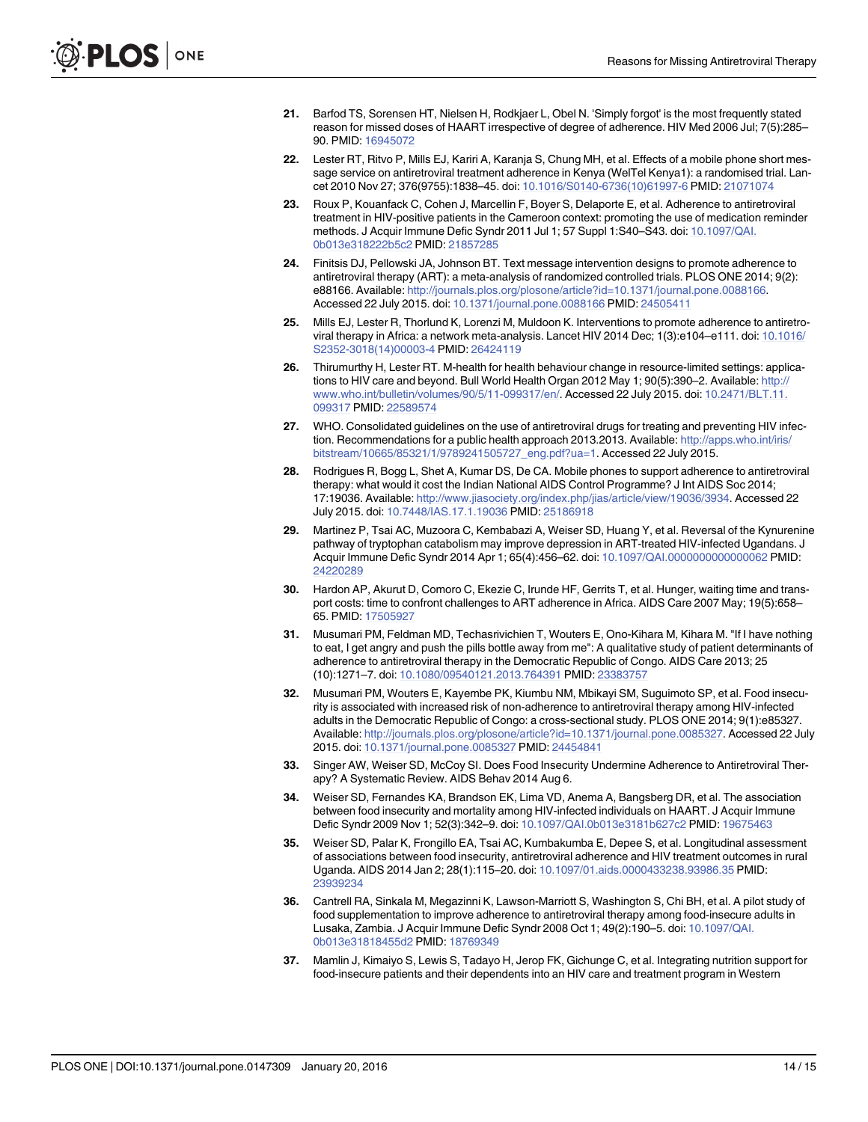- <span id="page-13-0"></span>[21.](#page-8-0) Barfod TS, Sorensen HT, Nielsen H, Rodkjaer L, Obel N. 'Simply forgot' is the most frequently stated reason for missed doses of HAART irrespective of degree of adherence. HIV Med 2006 Jul; 7(5):285– 90. PMID: [16945072](http://www.ncbi.nlm.nih.gov/pubmed/16945072)
- [22.](#page-8-0) Lester RT, Ritvo P, Mills EJ, Kariri A, Karanja S, Chung MH, et al. Effects of a mobile phone short message service on antiretroviral treatment adherence in Kenya (WelTel Kenya1): a randomised trial. Lancet 2010 Nov 27; 376(9755):1838–45. doi: [10.1016/S0140-6736\(10\)61997-6](http://dx.doi.org/10.1016/S0140-6736(10)61997-6) PMID: [21071074](http://www.ncbi.nlm.nih.gov/pubmed/21071074)
- 23. Roux P, Kouanfack C, Cohen J, Marcellin F, Boyer S, Delaporte E, et al. Adherence to antiretroviral treatment in HIV-positive patients in the Cameroon context: promoting the use of medication reminder methods. J Acquir Immune Defic Syndr 2011 Jul 1; 57 Suppl 1:S40–S43. doi: [10.1097/QAI.](http://dx.doi.org/10.1097/QAI.0b013e318222b5c2) [0b013e318222b5c2](http://dx.doi.org/10.1097/QAI.0b013e318222b5c2) PMID: [21857285](http://www.ncbi.nlm.nih.gov/pubmed/21857285)
- [24.](#page-8-0) Finitsis DJ, Pellowski JA, Johnson BT. Text message intervention designs to promote adherence to antiretroviral therapy (ART): a meta-analysis of randomized controlled trials. PLOS ONE 2014; 9(2): e88166. Available: <http://journals.plos.org/plosone/article?id=10.1371/journal.pone.0088166>. Accessed 22 July 2015. doi: [10.1371/journal.pone.0088166](http://dx.doi.org/10.1371/journal.pone.0088166) PMID: [24505411](http://www.ncbi.nlm.nih.gov/pubmed/24505411)
- [25.](#page-8-0) Mills EJ, Lester R, Thorlund K, Lorenzi M, Muldoon K. Interventions to promote adherence to antiretroviral therapy in Africa: a network meta-analysis. Lancet HIV 2014 Dec; 1(3):e104–e111. doi: [10.1016/](http://dx.doi.org/10.1016/S2352-3018(14)00003-4) [S2352-3018\(14\)00003-4](http://dx.doi.org/10.1016/S2352-3018(14)00003-4) PMID: [26424119](http://www.ncbi.nlm.nih.gov/pubmed/26424119)
- [26.](#page-8-0) Thirumurthy H, Lester RT. M-health for health behaviour change in resource-limited settings: applications to HIV care and beyond. Bull World Health Organ 2012 May 1; 90(5):390-2. Available: [http://](http://www.who.int/bulletin/volumes/90/5/11-099317/en/) [www.who.int/bulletin/volumes/90/5/11-099317/en/.](http://www.who.int/bulletin/volumes/90/5/11-099317/en/) Accessed 22 July 2015. doi: [10.2471/BLT.11.](http://dx.doi.org/10.2471/BLT.11.099317) [099317](http://dx.doi.org/10.2471/BLT.11.099317) PMID: [22589574](http://www.ncbi.nlm.nih.gov/pubmed/22589574)
- [27.](#page-8-0) WHO. Consolidated guidelines on the use of antiretroviral drugs for treating and preventing HIV infection. Recommendations for a public health approach 2013.2013. Available: [http://apps.who.int/iris/](http://apps.who.int/iris/bitstream/10665/85321/1/9789241505727_eng.pdf?ua=1) [bitstream/10665/85321/1/9789241505727\\_eng.pdf?ua=1.](http://apps.who.int/iris/bitstream/10665/85321/1/9789241505727_eng.pdf?ua=1) Accessed 22 July 2015.
- [28.](#page-9-0) Rodrigues R, Bogg L, Shet A, Kumar DS, De CA. Mobile phones to support adherence to antiretroviral therapy: what would it cost the Indian National AIDS Control Programme? J Int AIDS Soc 2014; 17:19036. Available: [http://www.jiasociety.org/index.php/jias/article/view/19036/3934.](http://www.jiasociety.org/index.php/jias/article/view/19036/3934) Accessed 22 July 2015. doi: [10.7448/IAS.17.1.19036](http://dx.doi.org/10.7448/IAS.17.1.19036) PMID: [25186918](http://www.ncbi.nlm.nih.gov/pubmed/25186918)
- [29.](#page-9-0) Martinez P, Tsai AC, Muzoora C, Kembabazi A, Weiser SD, Huang Y, et al. Reversal of the Kynurenine pathway of tryptophan catabolism may improve depression in ART-treated HIV-infected Ugandans. J Acquir Immune Defic Syndr 2014 Apr 1; 65(4):456–62. doi: [10.1097/QAI.0000000000000062](http://dx.doi.org/10.1097/QAI.0000000000000062) PMID: [24220289](http://www.ncbi.nlm.nih.gov/pubmed/24220289)
- [30.](#page-9-0) Hardon AP, Akurut D, Comoro C, Ekezie C, Irunde HF, Gerrits T, et al. Hunger, waiting time and transport costs: time to confront challenges to ART adherence in Africa. AIDS Care 2007 May; 19(5):658– 65. PMID: [17505927](http://www.ncbi.nlm.nih.gov/pubmed/17505927)
- 31. Musumari PM, Feldman MD, Techasrivichien T, Wouters E, Ono-Kihara M, Kihara M. "If I have nothing to eat, I get angry and push the pills bottle away from me": A qualitative study of patient determinants of adherence to antiretroviral therapy in the Democratic Republic of Congo. AIDS Care 2013; 25 (10):1271–7. doi: [10.1080/09540121.2013.764391](http://dx.doi.org/10.1080/09540121.2013.764391) PMID: [23383757](http://www.ncbi.nlm.nih.gov/pubmed/23383757)
- 32. Musumari PM, Wouters E, Kayembe PK, Kiumbu NM, Mbikayi SM, Suguimoto SP, et al. Food insecurity is associated with increased risk of non-adherence to antiretroviral therapy among HIV-infected adults in the Democratic Republic of Congo: a cross-sectional study. PLOS ONE 2014; 9(1):e85327. Available: <http://journals.plos.org/plosone/article?id=10.1371/journal.pone.0085327>. Accessed 22 July 2015. doi: [10.1371/journal.pone.0085327](http://dx.doi.org/10.1371/journal.pone.0085327) PMID: [24454841](http://www.ncbi.nlm.nih.gov/pubmed/24454841)
- 33. Singer AW, Weiser SD, McCoy SI. Does Food Insecurity Undermine Adherence to Antiretroviral Therapy? A Systematic Review. AIDS Behav 2014 Aug 6.
- 34. Weiser SD, Fernandes KA, Brandson EK, Lima VD, Anema A, Bangsberg DR, et al. The association between food insecurity and mortality among HIV-infected individuals on HAART. J Acquir Immune Defic Syndr 2009 Nov 1; 52(3):342–9. doi: [10.1097/QAI.0b013e3181b627c2](http://dx.doi.org/10.1097/QAI.0b013e3181b627c2) PMID: [19675463](http://www.ncbi.nlm.nih.gov/pubmed/19675463)
- [35.](#page-9-0) Weiser SD, Palar K, Frongillo EA, Tsai AC, Kumbakumba E, Depee S, et al. Longitudinal assessment of associations between food insecurity, antiretroviral adherence and HIV treatment outcomes in rural Uganda. AIDS 2014 Jan 2; 28(1):115–20. doi: [10.1097/01.aids.0000433238.93986.35](http://dx.doi.org/10.1097/01.aids.0000433238.93986.35) PMID: [23939234](http://www.ncbi.nlm.nih.gov/pubmed/23939234)
- [36.](#page-9-0) Cantrell RA, Sinkala M, Megazinni K, Lawson-Marriott S, Washington S, Chi BH, et al. A pilot study of food supplementation to improve adherence to antiretroviral therapy among food-insecure adults in Lusaka, Zambia. J Acquir Immune Defic Syndr 2008 Oct 1; 49(2):190–5. doi: [10.1097/QAI.](http://dx.doi.org/10.1097/QAI.0b013e31818455d2) [0b013e31818455d2](http://dx.doi.org/10.1097/QAI.0b013e31818455d2) PMID: [18769349](http://www.ncbi.nlm.nih.gov/pubmed/18769349)
- [37.](#page-9-0) Mamlin J, Kimaiyo S, Lewis S, Tadayo H, Jerop FK, Gichunge C, et al. Integrating nutrition support for food-insecure patients and their dependents into an HIV care and treatment program in Western